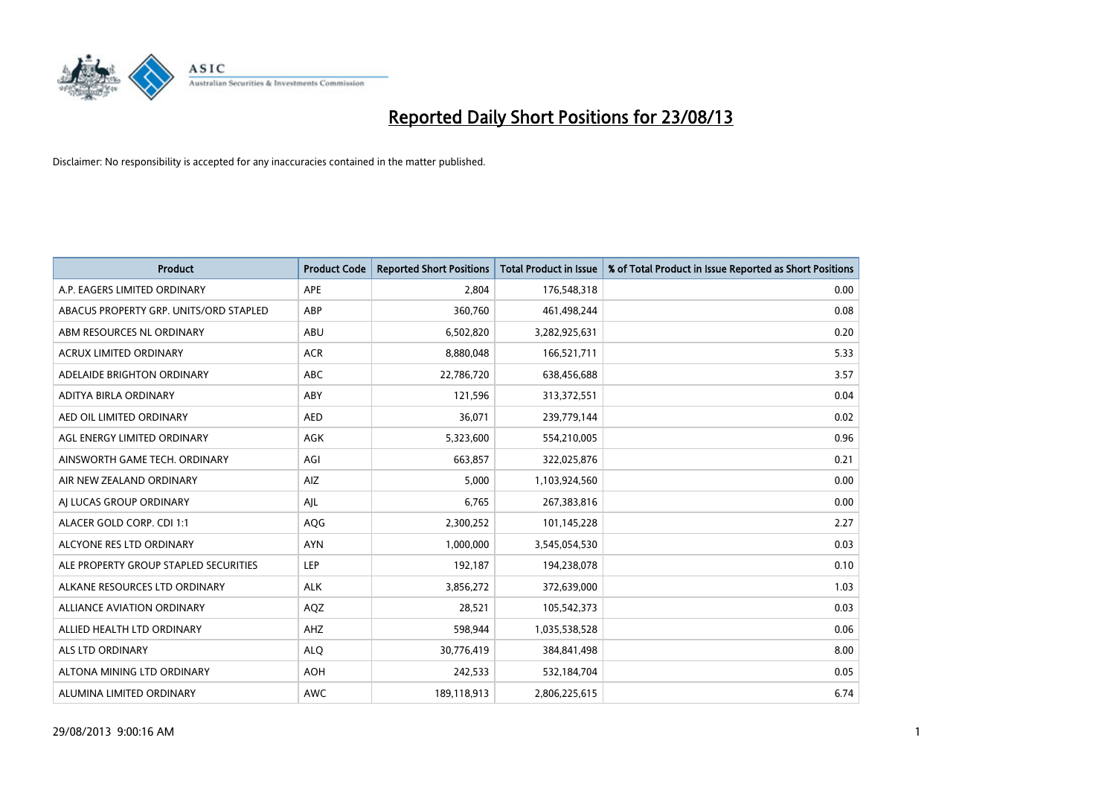

| <b>Product</b>                         | <b>Product Code</b> | <b>Reported Short Positions</b> | <b>Total Product in Issue</b> | % of Total Product in Issue Reported as Short Positions |
|----------------------------------------|---------------------|---------------------------------|-------------------------------|---------------------------------------------------------|
| A.P. EAGERS LIMITED ORDINARY           | APE                 | 2,804                           | 176,548,318                   | 0.00                                                    |
| ABACUS PROPERTY GRP. UNITS/ORD STAPLED | ABP                 | 360,760                         | 461,498,244                   | 0.08                                                    |
| ABM RESOURCES NL ORDINARY              | ABU                 | 6,502,820                       | 3,282,925,631                 | 0.20                                                    |
| ACRUX LIMITED ORDINARY                 | <b>ACR</b>          | 8,880,048                       | 166,521,711                   | 5.33                                                    |
| ADELAIDE BRIGHTON ORDINARY             | <b>ABC</b>          | 22,786,720                      | 638,456,688                   | 3.57                                                    |
| ADITYA BIRLA ORDINARY                  | ABY                 | 121,596                         | 313,372,551                   | 0.04                                                    |
| AED OIL LIMITED ORDINARY               | <b>AED</b>          | 36,071                          | 239,779,144                   | 0.02                                                    |
| AGL ENERGY LIMITED ORDINARY            | AGK                 | 5,323,600                       | 554,210,005                   | 0.96                                                    |
| AINSWORTH GAME TECH. ORDINARY          | AGI                 | 663,857                         | 322,025,876                   | 0.21                                                    |
| AIR NEW ZEALAND ORDINARY               | <b>AIZ</b>          | 5,000                           | 1,103,924,560                 | 0.00                                                    |
| AJ LUCAS GROUP ORDINARY                | AJL                 | 6,765                           | 267,383,816                   | 0.00                                                    |
| ALACER GOLD CORP. CDI 1:1              | AQG                 | 2,300,252                       | 101,145,228                   | 2.27                                                    |
| ALCYONE RES LTD ORDINARY               | <b>AYN</b>          | 1,000,000                       | 3,545,054,530                 | 0.03                                                    |
| ALE PROPERTY GROUP STAPLED SECURITIES  | LEP                 | 192,187                         | 194,238,078                   | 0.10                                                    |
| ALKANE RESOURCES LTD ORDINARY          | <b>ALK</b>          | 3,856,272                       | 372,639,000                   | 1.03                                                    |
| ALLIANCE AVIATION ORDINARY             | AQZ                 | 28,521                          | 105,542,373                   | 0.03                                                    |
| ALLIED HEALTH LTD ORDINARY             | AHZ                 | 598,944                         | 1,035,538,528                 | 0.06                                                    |
| ALS LTD ORDINARY                       | <b>ALQ</b>          | 30,776,419                      | 384,841,498                   | 8.00                                                    |
| ALTONA MINING LTD ORDINARY             | <b>AOH</b>          | 242,533                         | 532,184,704                   | 0.05                                                    |
| ALUMINA LIMITED ORDINARY               | <b>AWC</b>          | 189,118,913                     | 2,806,225,615                 | 6.74                                                    |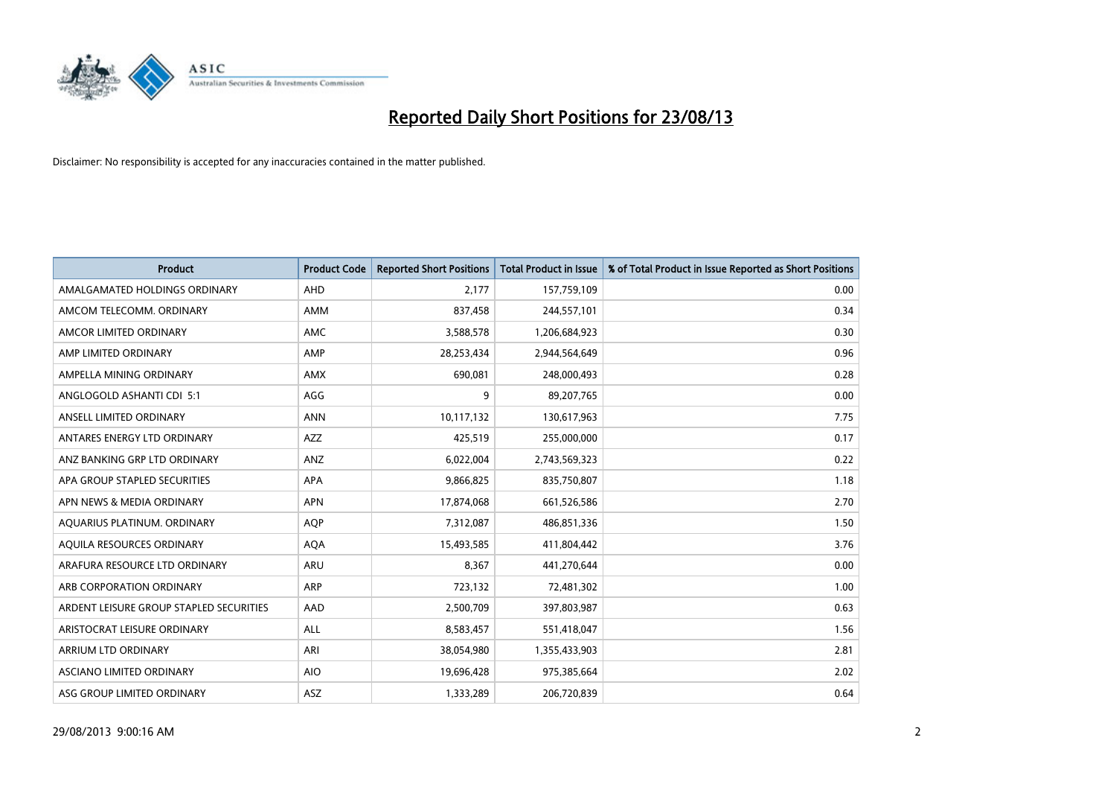

| <b>Product</b>                          | <b>Product Code</b> | <b>Reported Short Positions</b> | <b>Total Product in Issue</b> | % of Total Product in Issue Reported as Short Positions |
|-----------------------------------------|---------------------|---------------------------------|-------------------------------|---------------------------------------------------------|
| AMALGAMATED HOLDINGS ORDINARY           | AHD                 | 2,177                           | 157,759,109                   | 0.00                                                    |
| AMCOM TELECOMM. ORDINARY                | AMM                 | 837,458                         | 244,557,101                   | 0.34                                                    |
| AMCOR LIMITED ORDINARY                  | AMC                 | 3,588,578                       | 1,206,684,923                 | 0.30                                                    |
| AMP LIMITED ORDINARY                    | AMP                 | 28,253,434                      | 2,944,564,649                 | 0.96                                                    |
| AMPELLA MINING ORDINARY                 | <b>AMX</b>          | 690,081                         | 248,000,493                   | 0.28                                                    |
| ANGLOGOLD ASHANTI CDI 5:1               | AGG                 | 9                               | 89,207,765                    | 0.00                                                    |
| ANSELL LIMITED ORDINARY                 | <b>ANN</b>          | 10,117,132                      | 130,617,963                   | 7.75                                                    |
| ANTARES ENERGY LTD ORDINARY             | AZZ                 | 425,519                         | 255,000,000                   | 0.17                                                    |
| ANZ BANKING GRP LTD ORDINARY            | ANZ                 | 6,022,004                       | 2,743,569,323                 | 0.22                                                    |
| APA GROUP STAPLED SECURITIES            | <b>APA</b>          | 9,866,825                       | 835,750,807                   | 1.18                                                    |
| APN NEWS & MEDIA ORDINARY               | <b>APN</b>          | 17,874,068                      | 661,526,586                   | 2.70                                                    |
| AQUARIUS PLATINUM. ORDINARY             | <b>AOP</b>          | 7,312,087                       | 486,851,336                   | 1.50                                                    |
| AQUILA RESOURCES ORDINARY               | <b>AQA</b>          | 15,493,585                      | 411,804,442                   | 3.76                                                    |
| ARAFURA RESOURCE LTD ORDINARY           | ARU                 | 8,367                           | 441,270,644                   | 0.00                                                    |
| ARB CORPORATION ORDINARY                | ARP                 | 723,132                         | 72,481,302                    | 1.00                                                    |
| ARDENT LEISURE GROUP STAPLED SECURITIES | AAD                 | 2,500,709                       | 397,803,987                   | 0.63                                                    |
| ARISTOCRAT LEISURE ORDINARY             | ALL                 | 8,583,457                       | 551,418,047                   | 1.56                                                    |
| ARRIUM LTD ORDINARY                     | ARI                 | 38,054,980                      | 1,355,433,903                 | 2.81                                                    |
| ASCIANO LIMITED ORDINARY                | <b>AIO</b>          | 19,696,428                      | 975,385,664                   | 2.02                                                    |
| ASG GROUP LIMITED ORDINARY              | ASZ                 | 1,333,289                       | 206,720,839                   | 0.64                                                    |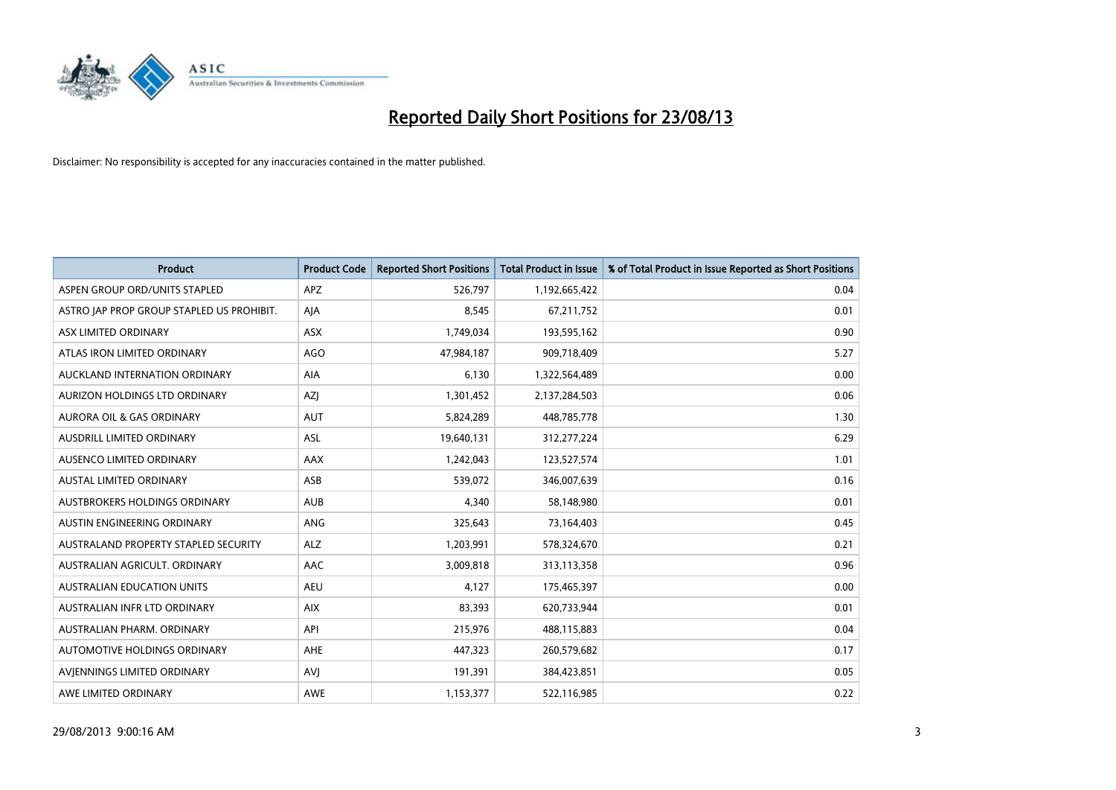

| <b>Product</b>                            | <b>Product Code</b> | <b>Reported Short Positions</b> | <b>Total Product in Issue</b> | % of Total Product in Issue Reported as Short Positions |
|-------------------------------------------|---------------------|---------------------------------|-------------------------------|---------------------------------------------------------|
| ASPEN GROUP ORD/UNITS STAPLED             | <b>APZ</b>          | 526,797                         | 1,192,665,422                 | 0.04                                                    |
| ASTRO JAP PROP GROUP STAPLED US PROHIBIT. | AJA                 | 8,545                           | 67,211,752                    | 0.01                                                    |
| ASX LIMITED ORDINARY                      | ASX                 | 1,749,034                       | 193,595,162                   | 0.90                                                    |
| ATLAS IRON LIMITED ORDINARY               | <b>AGO</b>          | 47,984,187                      | 909,718,409                   | 5.27                                                    |
| AUCKLAND INTERNATION ORDINARY             | AIA                 | 6,130                           | 1,322,564,489                 | 0.00                                                    |
| AURIZON HOLDINGS LTD ORDINARY             | AZJ                 | 1,301,452                       | 2,137,284,503                 | 0.06                                                    |
| AURORA OIL & GAS ORDINARY                 | <b>AUT</b>          | 5,824,289                       | 448,785,778                   | 1.30                                                    |
| AUSDRILL LIMITED ORDINARY                 | ASL                 | 19,640,131                      | 312,277,224                   | 6.29                                                    |
| AUSENCO LIMITED ORDINARY                  | AAX                 | 1,242,043                       | 123,527,574                   | 1.01                                                    |
| <b>AUSTAL LIMITED ORDINARY</b>            | ASB                 | 539,072                         | 346,007,639                   | 0.16                                                    |
| AUSTBROKERS HOLDINGS ORDINARY             | <b>AUB</b>          | 4,340                           | 58,148,980                    | 0.01                                                    |
| AUSTIN ENGINEERING ORDINARY               | ANG                 | 325,643                         | 73,164,403                    | 0.45                                                    |
| AUSTRALAND PROPERTY STAPLED SECURITY      | <b>ALZ</b>          | 1,203,991                       | 578,324,670                   | 0.21                                                    |
| AUSTRALIAN AGRICULT, ORDINARY             | AAC                 | 3,009,818                       | 313,113,358                   | 0.96                                                    |
| <b>AUSTRALIAN EDUCATION UNITS</b>         | <b>AEU</b>          | 4,127                           | 175,465,397                   | 0.00                                                    |
| AUSTRALIAN INFR LTD ORDINARY              | <b>AIX</b>          | 83,393                          | 620,733,944                   | 0.01                                                    |
| AUSTRALIAN PHARM. ORDINARY                | API                 | 215,976                         | 488,115,883                   | 0.04                                                    |
| AUTOMOTIVE HOLDINGS ORDINARY              | AHE                 | 447,323                         | 260,579,682                   | 0.17                                                    |
| AVIENNINGS LIMITED ORDINARY               | <b>AVJ</b>          | 191,391                         | 384,423,851                   | 0.05                                                    |
| AWE LIMITED ORDINARY                      | <b>AWE</b>          | 1,153,377                       | 522,116,985                   | 0.22                                                    |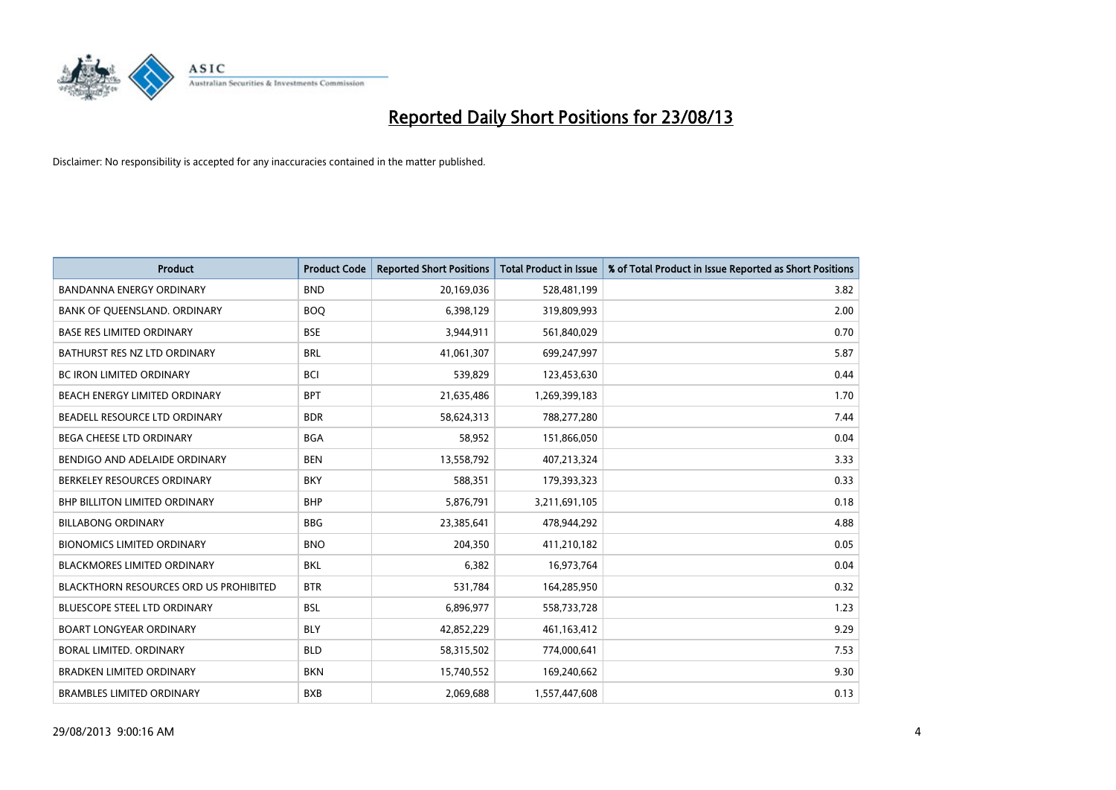

| <b>Product</b>                                | <b>Product Code</b> | <b>Reported Short Positions</b> | <b>Total Product in Issue</b> | % of Total Product in Issue Reported as Short Positions |
|-----------------------------------------------|---------------------|---------------------------------|-------------------------------|---------------------------------------------------------|
| <b>BANDANNA ENERGY ORDINARY</b>               | <b>BND</b>          | 20,169,036                      | 528,481,199                   | 3.82                                                    |
| BANK OF QUEENSLAND. ORDINARY                  | <b>BOQ</b>          | 6,398,129                       | 319,809,993                   | 2.00                                                    |
| <b>BASE RES LIMITED ORDINARY</b>              | <b>BSE</b>          | 3,944,911                       | 561,840,029                   | 0.70                                                    |
| BATHURST RES NZ LTD ORDINARY                  | <b>BRL</b>          | 41,061,307                      | 699,247,997                   | 5.87                                                    |
| <b>BC IRON LIMITED ORDINARY</b>               | <b>BCI</b>          | 539,829                         | 123,453,630                   | 0.44                                                    |
| BEACH ENERGY LIMITED ORDINARY                 | <b>BPT</b>          | 21,635,486                      | 1,269,399,183                 | 1.70                                                    |
| BEADELL RESOURCE LTD ORDINARY                 | <b>BDR</b>          | 58,624,313                      | 788,277,280                   | 7.44                                                    |
| <b>BEGA CHEESE LTD ORDINARY</b>               | <b>BGA</b>          | 58,952                          | 151,866,050                   | 0.04                                                    |
| BENDIGO AND ADELAIDE ORDINARY                 | <b>BEN</b>          | 13,558,792                      | 407,213,324                   | 3.33                                                    |
| BERKELEY RESOURCES ORDINARY                   | <b>BKY</b>          | 588,351                         | 179,393,323                   | 0.33                                                    |
| BHP BILLITON LIMITED ORDINARY                 | <b>BHP</b>          | 5,876,791                       | 3,211,691,105                 | 0.18                                                    |
| <b>BILLABONG ORDINARY</b>                     | <b>BBG</b>          | 23,385,641                      | 478,944,292                   | 4.88                                                    |
| <b>BIONOMICS LIMITED ORDINARY</b>             | <b>BNO</b>          | 204,350                         | 411,210,182                   | 0.05                                                    |
| <b>BLACKMORES LIMITED ORDINARY</b>            | <b>BKL</b>          | 6,382                           | 16,973,764                    | 0.04                                                    |
| <b>BLACKTHORN RESOURCES ORD US PROHIBITED</b> | <b>BTR</b>          | 531,784                         | 164,285,950                   | 0.32                                                    |
| BLUESCOPE STEEL LTD ORDINARY                  | <b>BSL</b>          | 6,896,977                       | 558,733,728                   | 1.23                                                    |
| <b>BOART LONGYEAR ORDINARY</b>                | <b>BLY</b>          | 42,852,229                      | 461,163,412                   | 9.29                                                    |
| BORAL LIMITED. ORDINARY                       | <b>BLD</b>          | 58,315,502                      | 774,000,641                   | 7.53                                                    |
| <b>BRADKEN LIMITED ORDINARY</b>               | <b>BKN</b>          | 15,740,552                      | 169,240,662                   | 9.30                                                    |
| <b>BRAMBLES LIMITED ORDINARY</b>              | <b>BXB</b>          | 2,069,688                       | 1,557,447,608                 | 0.13                                                    |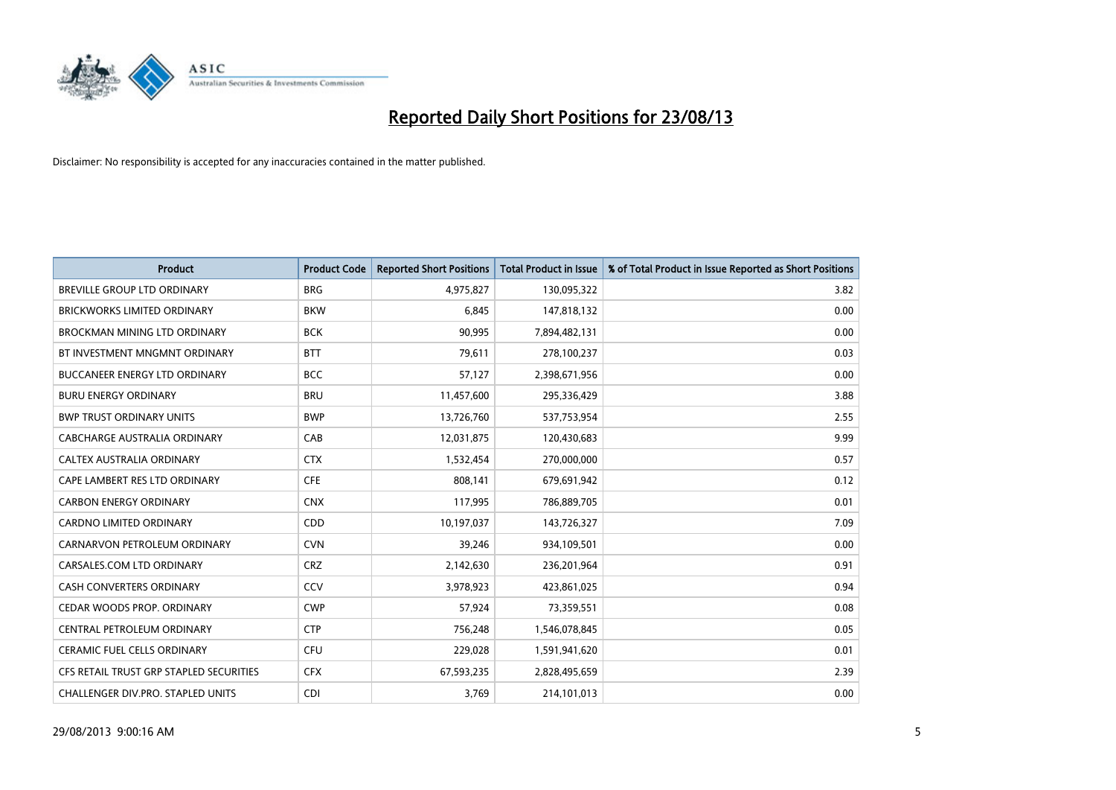

| <b>Product</b>                          | <b>Product Code</b> | <b>Reported Short Positions</b> | <b>Total Product in Issue</b> | % of Total Product in Issue Reported as Short Positions |
|-----------------------------------------|---------------------|---------------------------------|-------------------------------|---------------------------------------------------------|
| <b>BREVILLE GROUP LTD ORDINARY</b>      | <b>BRG</b>          | 4,975,827                       | 130,095,322                   | 3.82                                                    |
| <b>BRICKWORKS LIMITED ORDINARY</b>      | <b>BKW</b>          | 6,845                           | 147,818,132                   | 0.00                                                    |
| <b>BROCKMAN MINING LTD ORDINARY</b>     | <b>BCK</b>          | 90,995                          | 7,894,482,131                 | 0.00                                                    |
| BT INVESTMENT MNGMNT ORDINARY           | <b>BTT</b>          | 79,611                          | 278,100,237                   | 0.03                                                    |
| <b>BUCCANEER ENERGY LTD ORDINARY</b>    | <b>BCC</b>          | 57,127                          | 2,398,671,956                 | 0.00                                                    |
| <b>BURU ENERGY ORDINARY</b>             | <b>BRU</b>          | 11,457,600                      | 295,336,429                   | 3.88                                                    |
| <b>BWP TRUST ORDINARY UNITS</b>         | <b>BWP</b>          | 13,726,760                      | 537,753,954                   | 2.55                                                    |
| <b>CABCHARGE AUSTRALIA ORDINARY</b>     | CAB                 | 12,031,875                      | 120,430,683                   | 9.99                                                    |
| CALTEX AUSTRALIA ORDINARY               | <b>CTX</b>          | 1,532,454                       | 270,000,000                   | 0.57                                                    |
| CAPE LAMBERT RES LTD ORDINARY           | <b>CFE</b>          | 808,141                         | 679,691,942                   | 0.12                                                    |
| <b>CARBON ENERGY ORDINARY</b>           | <b>CNX</b>          | 117,995                         | 786,889,705                   | 0.01                                                    |
| <b>CARDNO LIMITED ORDINARY</b>          | CDD                 | 10,197,037                      | 143,726,327                   | 7.09                                                    |
| CARNARVON PETROLEUM ORDINARY            | <b>CVN</b>          | 39,246                          | 934,109,501                   | 0.00                                                    |
| CARSALES.COM LTD ORDINARY               | <b>CRZ</b>          | 2,142,630                       | 236,201,964                   | 0.91                                                    |
| <b>CASH CONVERTERS ORDINARY</b>         | CCV                 | 3,978,923                       | 423,861,025                   | 0.94                                                    |
| CEDAR WOODS PROP. ORDINARY              | <b>CWP</b>          | 57,924                          | 73,359,551                    | 0.08                                                    |
| CENTRAL PETROLEUM ORDINARY              | <b>CTP</b>          | 756,248                         | 1,546,078,845                 | 0.05                                                    |
| <b>CERAMIC FUEL CELLS ORDINARY</b>      | <b>CFU</b>          | 229,028                         | 1,591,941,620                 | 0.01                                                    |
| CFS RETAIL TRUST GRP STAPLED SECURITIES | <b>CFX</b>          | 67,593,235                      | 2,828,495,659                 | 2.39                                                    |
| CHALLENGER DIV.PRO. STAPLED UNITS       | <b>CDI</b>          | 3,769                           | 214,101,013                   | 0.00                                                    |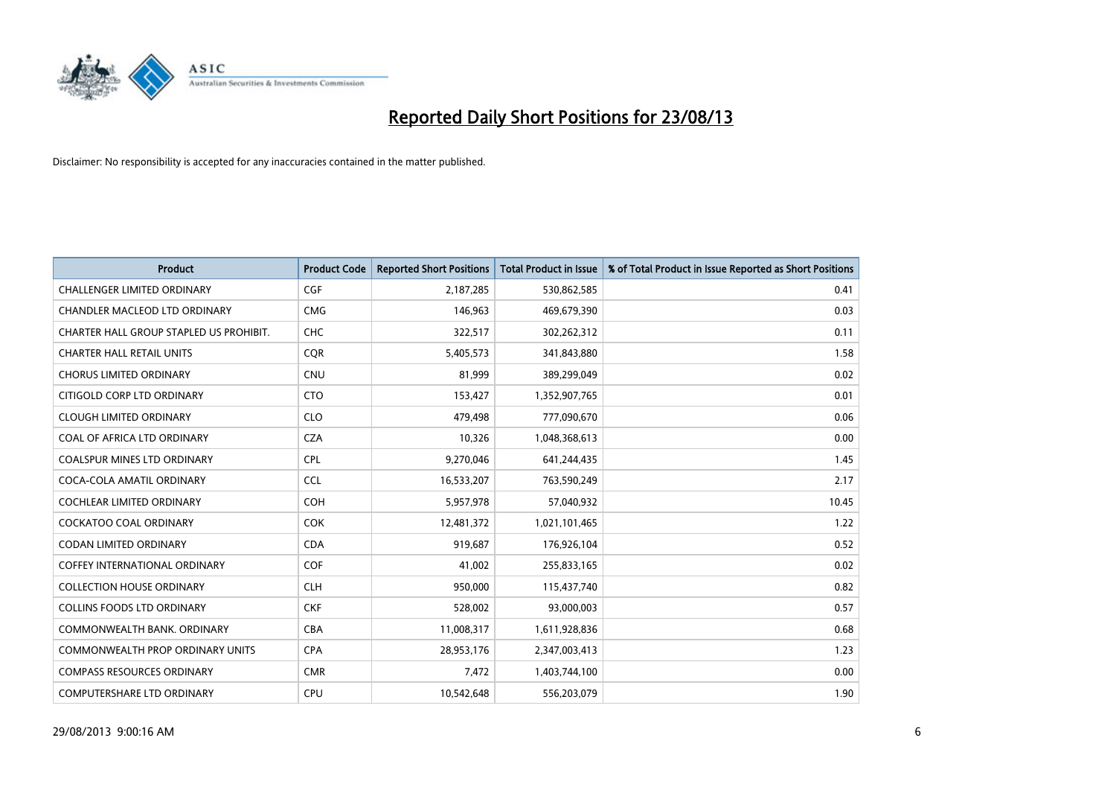

| <b>Product</b>                          | <b>Product Code</b> | <b>Reported Short Positions</b> | <b>Total Product in Issue</b> | % of Total Product in Issue Reported as Short Positions |
|-----------------------------------------|---------------------|---------------------------------|-------------------------------|---------------------------------------------------------|
| <b>CHALLENGER LIMITED ORDINARY</b>      | <b>CGF</b>          | 2,187,285                       | 530,862,585                   | 0.41                                                    |
| CHANDLER MACLEOD LTD ORDINARY           | <b>CMG</b>          | 146,963                         | 469,679,390                   | 0.03                                                    |
| CHARTER HALL GROUP STAPLED US PROHIBIT. | <b>CHC</b>          | 322,517                         | 302,262,312                   | 0.11                                                    |
| <b>CHARTER HALL RETAIL UNITS</b>        | <b>CQR</b>          | 5,405,573                       | 341,843,880                   | 1.58                                                    |
| <b>CHORUS LIMITED ORDINARY</b>          | <b>CNU</b>          | 81,999                          | 389,299,049                   | 0.02                                                    |
| CITIGOLD CORP LTD ORDINARY              | <b>CTO</b>          | 153,427                         | 1,352,907,765                 | 0.01                                                    |
| <b>CLOUGH LIMITED ORDINARY</b>          | <b>CLO</b>          | 479,498                         | 777,090,670                   | 0.06                                                    |
| COAL OF AFRICA LTD ORDINARY             | <b>CZA</b>          | 10,326                          | 1,048,368,613                 | 0.00                                                    |
| <b>COALSPUR MINES LTD ORDINARY</b>      | <b>CPL</b>          | 9,270,046                       | 641,244,435                   | 1.45                                                    |
| COCA-COLA AMATIL ORDINARY               | <b>CCL</b>          | 16,533,207                      | 763,590,249                   | 2.17                                                    |
| COCHLEAR LIMITED ORDINARY               | <b>COH</b>          | 5,957,978                       | 57,040,932                    | 10.45                                                   |
| <b>COCKATOO COAL ORDINARY</b>           | <b>COK</b>          | 12,481,372                      | 1,021,101,465                 | 1.22                                                    |
| CODAN LIMITED ORDINARY                  | <b>CDA</b>          | 919,687                         | 176,926,104                   | 0.52                                                    |
| <b>COFFEY INTERNATIONAL ORDINARY</b>    | <b>COF</b>          | 41,002                          | 255,833,165                   | 0.02                                                    |
| <b>COLLECTION HOUSE ORDINARY</b>        | <b>CLH</b>          | 950,000                         | 115,437,740                   | 0.82                                                    |
| <b>COLLINS FOODS LTD ORDINARY</b>       | <b>CKF</b>          | 528,002                         | 93,000,003                    | 0.57                                                    |
| COMMONWEALTH BANK, ORDINARY             | <b>CBA</b>          | 11,008,317                      | 1,611,928,836                 | 0.68                                                    |
| <b>COMMONWEALTH PROP ORDINARY UNITS</b> | <b>CPA</b>          | 28,953,176                      | 2,347,003,413                 | 1.23                                                    |
| <b>COMPASS RESOURCES ORDINARY</b>       | <b>CMR</b>          | 7,472                           | 1,403,744,100                 | 0.00                                                    |
| COMPUTERSHARE LTD ORDINARY              | <b>CPU</b>          | 10,542,648                      | 556,203,079                   | 1.90                                                    |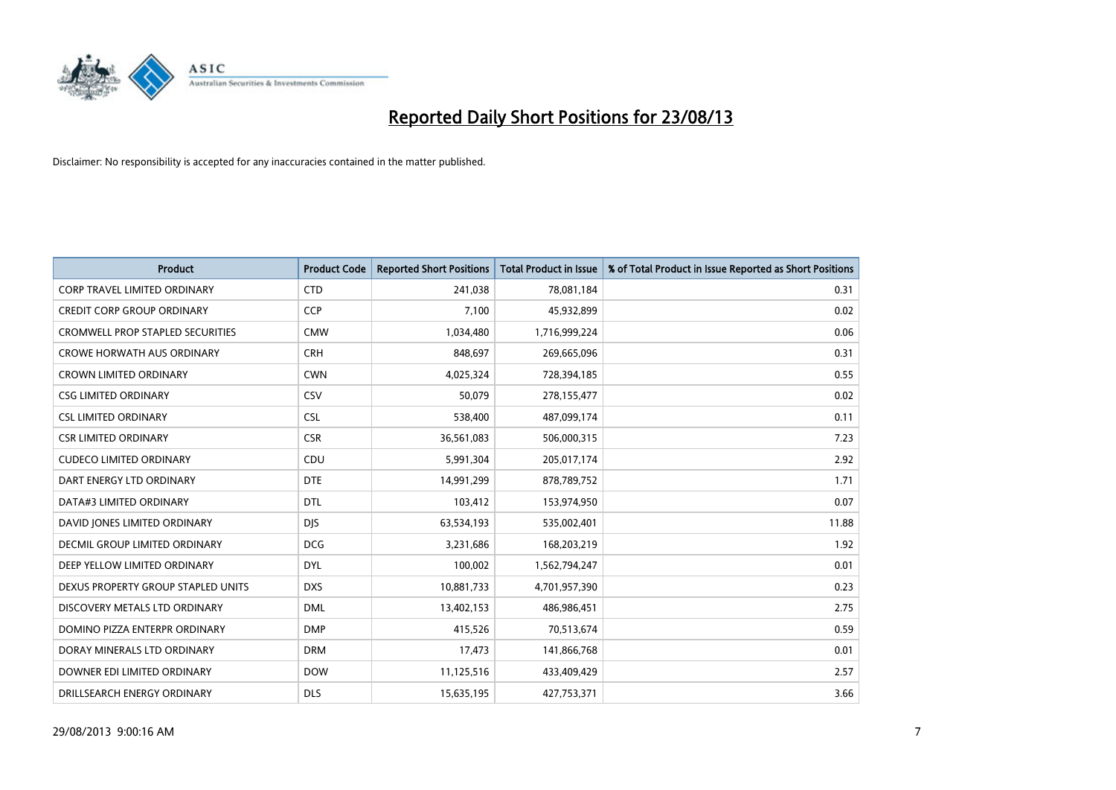

| <b>Product</b>                          | <b>Product Code</b> | <b>Reported Short Positions</b> | <b>Total Product in Issue</b> | % of Total Product in Issue Reported as Short Positions |
|-----------------------------------------|---------------------|---------------------------------|-------------------------------|---------------------------------------------------------|
| <b>CORP TRAVEL LIMITED ORDINARY</b>     | <b>CTD</b>          | 241,038                         | 78,081,184                    | 0.31                                                    |
| <b>CREDIT CORP GROUP ORDINARY</b>       | <b>CCP</b>          | 7,100                           | 45,932,899                    | 0.02                                                    |
| <b>CROMWELL PROP STAPLED SECURITIES</b> | <b>CMW</b>          | 1,034,480                       | 1,716,999,224                 | 0.06                                                    |
| <b>CROWE HORWATH AUS ORDINARY</b>       | <b>CRH</b>          | 848,697                         | 269,665,096                   | 0.31                                                    |
| <b>CROWN LIMITED ORDINARY</b>           | <b>CWN</b>          | 4,025,324                       | 728,394,185                   | 0.55                                                    |
| <b>CSG LIMITED ORDINARY</b>             | CSV                 | 50,079                          | 278,155,477                   | 0.02                                                    |
| <b>CSL LIMITED ORDINARY</b>             | <b>CSL</b>          | 538,400                         | 487,099,174                   | 0.11                                                    |
| <b>CSR LIMITED ORDINARY</b>             | <b>CSR</b>          | 36,561,083                      | 506,000,315                   | 7.23                                                    |
| <b>CUDECO LIMITED ORDINARY</b>          | CDU                 | 5,991,304                       | 205,017,174                   | 2.92                                                    |
| DART ENERGY LTD ORDINARY                | <b>DTE</b>          | 14,991,299                      | 878,789,752                   | 1.71                                                    |
| DATA#3 LIMITED ORDINARY                 | <b>DTL</b>          | 103,412                         | 153,974,950                   | 0.07                                                    |
| DAVID JONES LIMITED ORDINARY            | <b>DJS</b>          | 63,534,193                      | 535,002,401                   | 11.88                                                   |
| DECMIL GROUP LIMITED ORDINARY           | <b>DCG</b>          | 3,231,686                       | 168,203,219                   | 1.92                                                    |
| DEEP YELLOW LIMITED ORDINARY            | <b>DYL</b>          | 100,002                         | 1,562,794,247                 | 0.01                                                    |
| DEXUS PROPERTY GROUP STAPLED UNITS      | <b>DXS</b>          | 10,881,733                      | 4,701,957,390                 | 0.23                                                    |
| DISCOVERY METALS LTD ORDINARY           | <b>DML</b>          | 13,402,153                      | 486,986,451                   | 2.75                                                    |
| DOMINO PIZZA ENTERPR ORDINARY           | <b>DMP</b>          | 415,526                         | 70,513,674                    | 0.59                                                    |
| DORAY MINERALS LTD ORDINARY             | <b>DRM</b>          | 17,473                          | 141,866,768                   | 0.01                                                    |
| DOWNER EDI LIMITED ORDINARY             | <b>DOW</b>          | 11,125,516                      | 433,409,429                   | 2.57                                                    |
| DRILLSEARCH ENERGY ORDINARY             | <b>DLS</b>          | 15,635,195                      | 427,753,371                   | 3.66                                                    |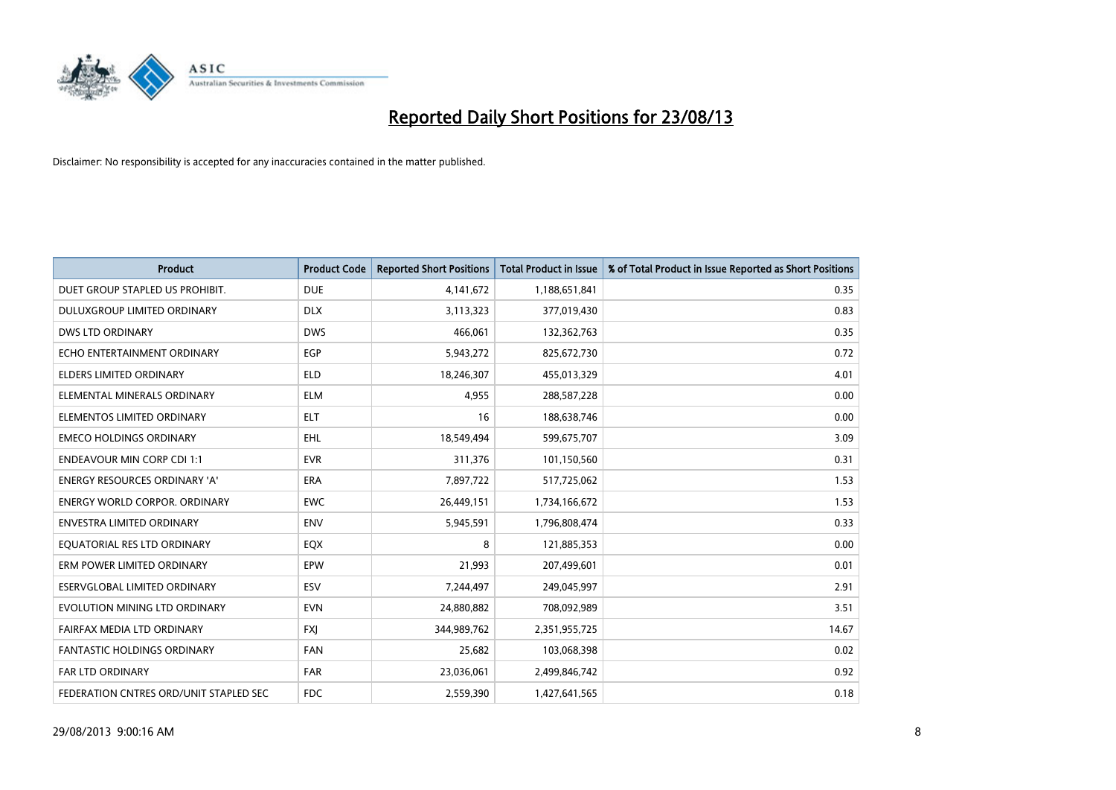

| <b>Product</b>                         | <b>Product Code</b> | <b>Reported Short Positions</b> | <b>Total Product in Issue</b> | % of Total Product in Issue Reported as Short Positions |
|----------------------------------------|---------------------|---------------------------------|-------------------------------|---------------------------------------------------------|
| DUET GROUP STAPLED US PROHIBIT.        | <b>DUE</b>          | 4,141,672                       | 1,188,651,841                 | 0.35                                                    |
| <b>DULUXGROUP LIMITED ORDINARY</b>     | <b>DLX</b>          | 3,113,323                       | 377,019,430                   | 0.83                                                    |
| <b>DWS LTD ORDINARY</b>                | <b>DWS</b>          | 466,061                         | 132,362,763                   | 0.35                                                    |
| ECHO ENTERTAINMENT ORDINARY            | <b>EGP</b>          | 5,943,272                       | 825,672,730                   | 0.72                                                    |
| <b>ELDERS LIMITED ORDINARY</b>         | <b>ELD</b>          | 18,246,307                      | 455,013,329                   | 4.01                                                    |
| ELEMENTAL MINERALS ORDINARY            | <b>ELM</b>          | 4,955                           | 288,587,228                   | 0.00                                                    |
| ELEMENTOS LIMITED ORDINARY             | <b>ELT</b>          | 16                              | 188,638,746                   | 0.00                                                    |
| <b>EMECO HOLDINGS ORDINARY</b>         | <b>EHL</b>          | 18,549,494                      | 599,675,707                   | 3.09                                                    |
| <b>ENDEAVOUR MIN CORP CDI 1:1</b>      | <b>EVR</b>          | 311,376                         | 101,150,560                   | 0.31                                                    |
| <b>ENERGY RESOURCES ORDINARY 'A'</b>   | <b>ERA</b>          | 7,897,722                       | 517,725,062                   | 1.53                                                    |
| <b>ENERGY WORLD CORPOR, ORDINARY</b>   | <b>EWC</b>          | 26,449,151                      | 1,734,166,672                 | 1.53                                                    |
| <b>ENVESTRA LIMITED ORDINARY</b>       | <b>ENV</b>          | 5,945,591                       | 1,796,808,474                 | 0.33                                                    |
| EQUATORIAL RES LTD ORDINARY            | EQX                 | 8                               | 121,885,353                   | 0.00                                                    |
| ERM POWER LIMITED ORDINARY             | EPW                 | 21,993                          | 207,499,601                   | 0.01                                                    |
| ESERVGLOBAL LIMITED ORDINARY           | ESV                 | 7,244,497                       | 249,045,997                   | 2.91                                                    |
| EVOLUTION MINING LTD ORDINARY          | <b>EVN</b>          | 24,880,882                      | 708,092,989                   | 3.51                                                    |
| FAIRFAX MEDIA LTD ORDINARY             | <b>FXJ</b>          | 344,989,762                     | 2,351,955,725                 | 14.67                                                   |
| FANTASTIC HOLDINGS ORDINARY            | <b>FAN</b>          | 25,682                          | 103,068,398                   | 0.02                                                    |
| <b>FAR LTD ORDINARY</b>                | <b>FAR</b>          | 23,036,061                      | 2,499,846,742                 | 0.92                                                    |
| FEDERATION CNTRES ORD/UNIT STAPLED SEC | <b>FDC</b>          | 2,559,390                       | 1,427,641,565                 | 0.18                                                    |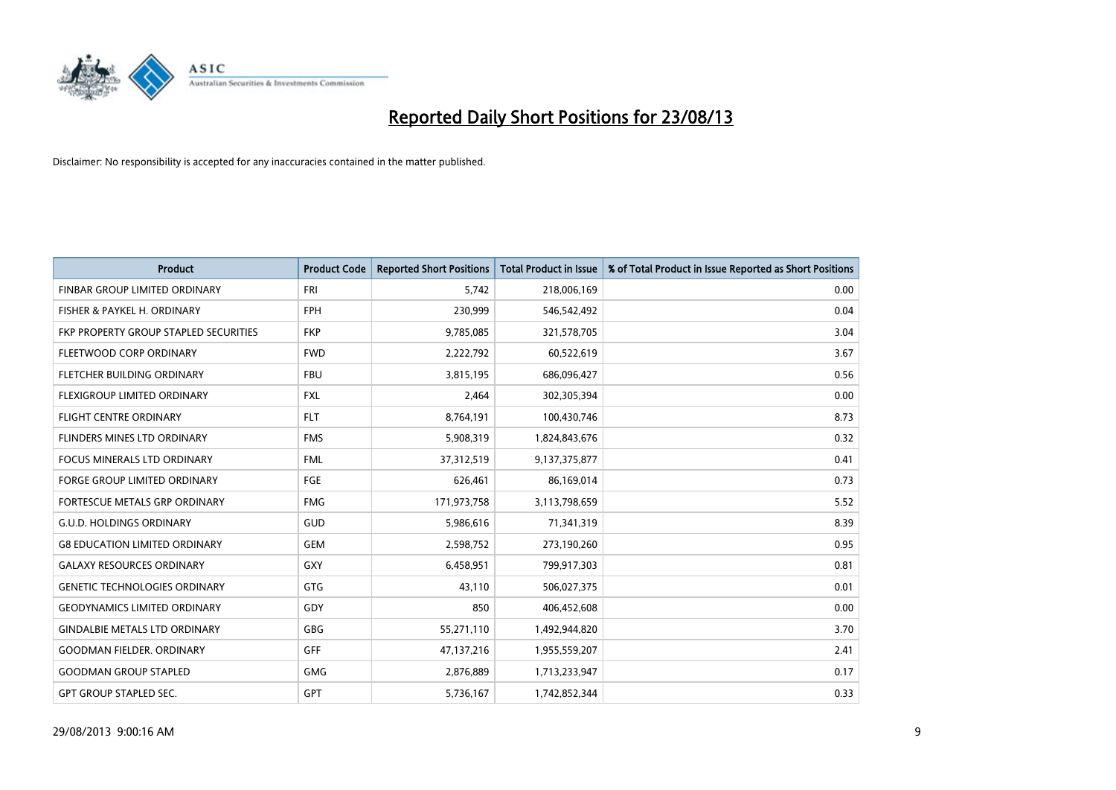

| <b>Product</b>                        | <b>Product Code</b> | <b>Reported Short Positions</b> | <b>Total Product in Issue</b> | % of Total Product in Issue Reported as Short Positions |
|---------------------------------------|---------------------|---------------------------------|-------------------------------|---------------------------------------------------------|
| FINBAR GROUP LIMITED ORDINARY         | <b>FRI</b>          | 5,742                           | 218,006,169                   | 0.00                                                    |
| FISHER & PAYKEL H. ORDINARY           | <b>FPH</b>          | 230,999                         | 546,542,492                   | 0.04                                                    |
| FKP PROPERTY GROUP STAPLED SECURITIES | <b>FKP</b>          | 9,785,085                       | 321,578,705                   | 3.04                                                    |
| FLEETWOOD CORP ORDINARY               | <b>FWD</b>          | 2,222,792                       | 60,522,619                    | 3.67                                                    |
| FLETCHER BUILDING ORDINARY            | <b>FBU</b>          | 3,815,195                       | 686,096,427                   | 0.56                                                    |
| FLEXIGROUP LIMITED ORDINARY           | <b>FXL</b>          | 2,464                           | 302,305,394                   | 0.00                                                    |
| <b>FLIGHT CENTRE ORDINARY</b>         | <b>FLT</b>          | 8,764,191                       | 100,430,746                   | 8.73                                                    |
| FLINDERS MINES LTD ORDINARY           | <b>FMS</b>          | 5,908,319                       | 1,824,843,676                 | 0.32                                                    |
| <b>FOCUS MINERALS LTD ORDINARY</b>    | <b>FML</b>          | 37,312,519                      | 9,137,375,877                 | 0.41                                                    |
| <b>FORGE GROUP LIMITED ORDINARY</b>   | FGE                 | 626,461                         | 86,169,014                    | 0.73                                                    |
| FORTESCUE METALS GRP ORDINARY         | <b>FMG</b>          | 171,973,758                     | 3,113,798,659                 | 5.52                                                    |
| <b>G.U.D. HOLDINGS ORDINARY</b>       | GUD                 | 5,986,616                       | 71,341,319                    | 8.39                                                    |
| <b>G8 EDUCATION LIMITED ORDINARY</b>  | <b>GEM</b>          | 2,598,752                       | 273,190,260                   | 0.95                                                    |
| <b>GALAXY RESOURCES ORDINARY</b>      | GXY                 | 6,458,951                       | 799,917,303                   | 0.81                                                    |
| <b>GENETIC TECHNOLOGIES ORDINARY</b>  | GTG                 | 43,110                          | 506,027,375                   | 0.01                                                    |
| <b>GEODYNAMICS LIMITED ORDINARY</b>   | GDY                 | 850                             | 406,452,608                   | 0.00                                                    |
| <b>GINDALBIE METALS LTD ORDINARY</b>  | GBG                 | 55,271,110                      | 1,492,944,820                 | 3.70                                                    |
| <b>GOODMAN FIELDER. ORDINARY</b>      | <b>GFF</b>          | 47,137,216                      | 1,955,559,207                 | 2.41                                                    |
| <b>GOODMAN GROUP STAPLED</b>          | <b>GMG</b>          | 2,876,889                       | 1,713,233,947                 | 0.17                                                    |
| <b>GPT GROUP STAPLED SEC.</b>         | GPT                 | 5,736,167                       | 1,742,852,344                 | 0.33                                                    |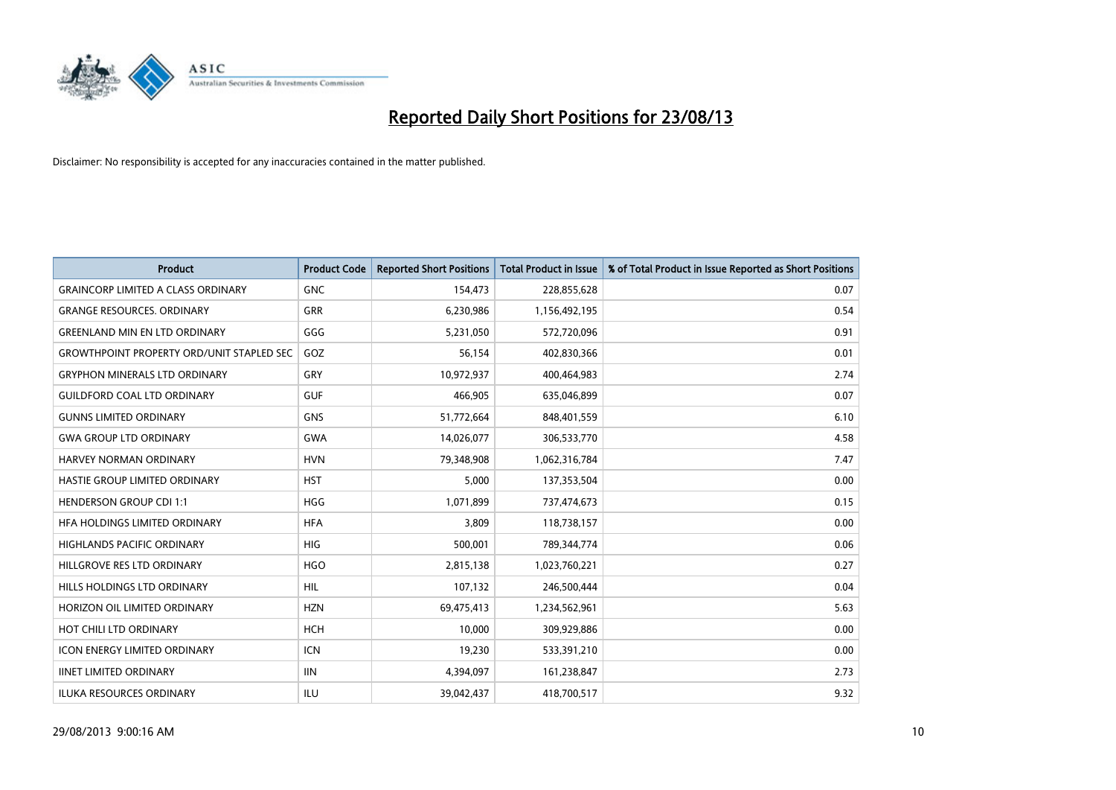

| <b>Product</b>                                   | <b>Product Code</b> | <b>Reported Short Positions</b> | <b>Total Product in Issue</b> | % of Total Product in Issue Reported as Short Positions |
|--------------------------------------------------|---------------------|---------------------------------|-------------------------------|---------------------------------------------------------|
| <b>GRAINCORP LIMITED A CLASS ORDINARY</b>        | <b>GNC</b>          | 154,473                         | 228,855,628                   | 0.07                                                    |
| <b>GRANGE RESOURCES, ORDINARY</b>                | GRR                 | 6,230,986                       | 1,156,492,195                 | 0.54                                                    |
| <b>GREENLAND MIN EN LTD ORDINARY</b>             | GGG                 | 5,231,050                       | 572,720,096                   | 0.91                                                    |
| <b>GROWTHPOINT PROPERTY ORD/UNIT STAPLED SEC</b> | GOZ                 | 56,154                          | 402,830,366                   | 0.01                                                    |
| <b>GRYPHON MINERALS LTD ORDINARY</b>             | GRY                 | 10,972,937                      | 400,464,983                   | 2.74                                                    |
| <b>GUILDFORD COAL LTD ORDINARY</b>               | <b>GUF</b>          | 466,905                         | 635,046,899                   | 0.07                                                    |
| <b>GUNNS LIMITED ORDINARY</b>                    | <b>GNS</b>          | 51,772,664                      | 848,401,559                   | 6.10                                                    |
| <b>GWA GROUP LTD ORDINARY</b>                    | <b>GWA</b>          | 14,026,077                      | 306,533,770                   | 4.58                                                    |
| <b>HARVEY NORMAN ORDINARY</b>                    | <b>HVN</b>          | 79,348,908                      | 1,062,316,784                 | 7.47                                                    |
| HASTIE GROUP LIMITED ORDINARY                    | <b>HST</b>          | 5,000                           | 137,353,504                   | 0.00                                                    |
| <b>HENDERSON GROUP CDI 1:1</b>                   | <b>HGG</b>          | 1,071,899                       | 737,474,673                   | 0.15                                                    |
| HFA HOLDINGS LIMITED ORDINARY                    | <b>HFA</b>          | 3,809                           | 118,738,157                   | 0.00                                                    |
| <b>HIGHLANDS PACIFIC ORDINARY</b>                | <b>HIG</b>          | 500,001                         | 789,344,774                   | 0.06                                                    |
| HILLGROVE RES LTD ORDINARY                       | <b>HGO</b>          | 2,815,138                       | 1,023,760,221                 | 0.27                                                    |
| HILLS HOLDINGS LTD ORDINARY                      | HIL                 | 107,132                         | 246,500,444                   | 0.04                                                    |
| HORIZON OIL LIMITED ORDINARY                     | <b>HZN</b>          | 69,475,413                      | 1,234,562,961                 | 5.63                                                    |
| HOT CHILI LTD ORDINARY                           | <b>HCH</b>          | 10,000                          | 309,929,886                   | 0.00                                                    |
| <b>ICON ENERGY LIMITED ORDINARY</b>              | <b>ICN</b>          | 19,230                          | 533,391,210                   | 0.00                                                    |
| <b>IINET LIMITED ORDINARY</b>                    | <b>IIN</b>          | 4,394,097                       | 161,238,847                   | 2.73                                                    |
| <b>ILUKA RESOURCES ORDINARY</b>                  | ILU                 | 39,042,437                      | 418,700,517                   | 9.32                                                    |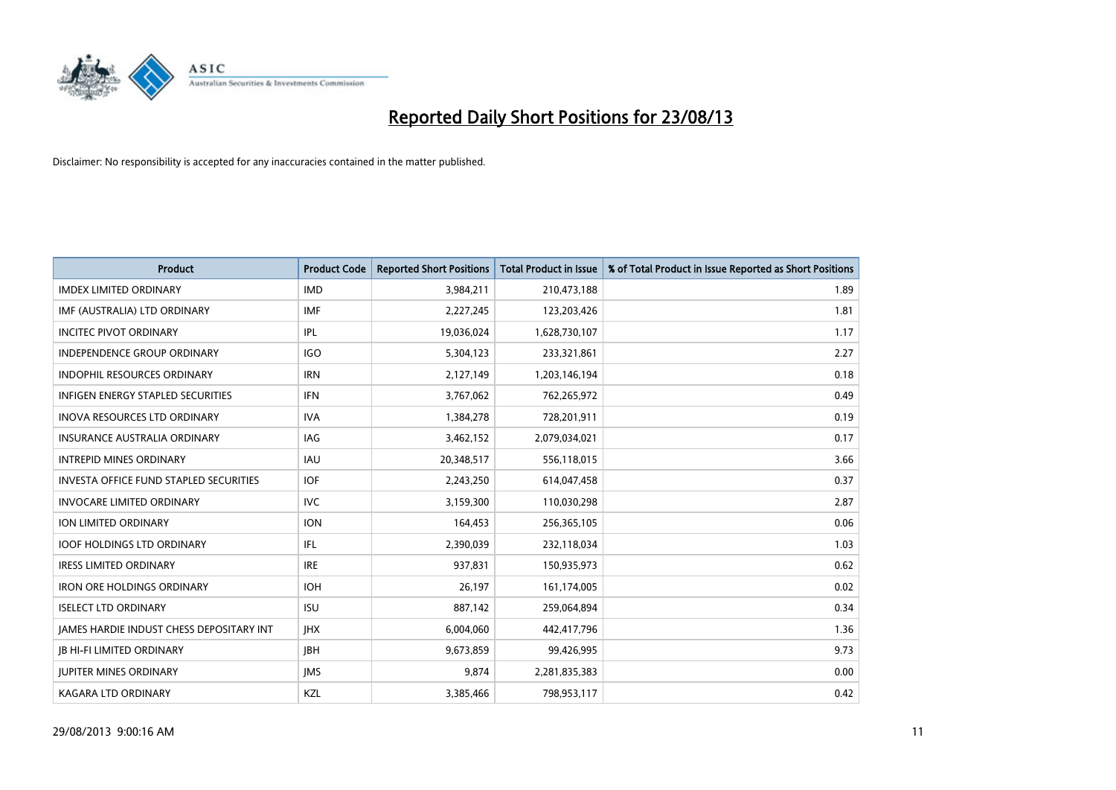

| <b>Product</b>                                | <b>Product Code</b> | <b>Reported Short Positions</b> | <b>Total Product in Issue</b> | % of Total Product in Issue Reported as Short Positions |
|-----------------------------------------------|---------------------|---------------------------------|-------------------------------|---------------------------------------------------------|
| <b>IMDEX LIMITED ORDINARY</b>                 | <b>IMD</b>          | 3,984,211                       | 210,473,188                   | 1.89                                                    |
| IMF (AUSTRALIA) LTD ORDINARY                  | IMF                 | 2,227,245                       | 123,203,426                   | 1.81                                                    |
| <b>INCITEC PIVOT ORDINARY</b>                 | IPL                 | 19,036,024                      | 1,628,730,107                 | 1.17                                                    |
| INDEPENDENCE GROUP ORDINARY                   | <b>IGO</b>          | 5,304,123                       | 233,321,861                   | 2.27                                                    |
| <b>INDOPHIL RESOURCES ORDINARY</b>            | <b>IRN</b>          | 2,127,149                       | 1,203,146,194                 | 0.18                                                    |
| <b>INFIGEN ENERGY STAPLED SECURITIES</b>      | <b>IFN</b>          | 3,767,062                       | 762,265,972                   | 0.49                                                    |
| <b>INOVA RESOURCES LTD ORDINARY</b>           | <b>IVA</b>          | 1,384,278                       | 728,201,911                   | 0.19                                                    |
| <b>INSURANCE AUSTRALIA ORDINARY</b>           | <b>IAG</b>          | 3,462,152                       | 2,079,034,021                 | 0.17                                                    |
| <b>INTREPID MINES ORDINARY</b>                | <b>IAU</b>          | 20,348,517                      | 556,118,015                   | 3.66                                                    |
| <b>INVESTA OFFICE FUND STAPLED SECURITIES</b> | <b>IOF</b>          | 2,243,250                       | 614,047,458                   | 0.37                                                    |
| <b>INVOCARE LIMITED ORDINARY</b>              | <b>IVC</b>          | 3,159,300                       | 110,030,298                   | 2.87                                                    |
| ION LIMITED ORDINARY                          | <b>ION</b>          | 164,453                         | 256,365,105                   | 0.06                                                    |
| <b>IOOF HOLDINGS LTD ORDINARY</b>             | IFL                 | 2,390,039                       | 232,118,034                   | 1.03                                                    |
| <b>IRESS LIMITED ORDINARY</b>                 | <b>IRE</b>          | 937,831                         | 150,935,973                   | 0.62                                                    |
| <b>IRON ORE HOLDINGS ORDINARY</b>             | <b>IOH</b>          | 26,197                          | 161,174,005                   | 0.02                                                    |
| <b>ISELECT LTD ORDINARY</b>                   | <b>ISU</b>          | 887,142                         | 259,064,894                   | 0.34                                                    |
| JAMES HARDIE INDUST CHESS DEPOSITARY INT      | <b>IHX</b>          | 6,004,060                       | 442,417,796                   | 1.36                                                    |
| <b>JB HI-FI LIMITED ORDINARY</b>              | JBH                 | 9,673,859                       | 99,426,995                    | 9.73                                                    |
| <b>JUPITER MINES ORDINARY</b>                 | <b>IMS</b>          | 9,874                           | 2,281,835,383                 | 0.00                                                    |
| <b>KAGARA LTD ORDINARY</b>                    | KZL                 | 3,385,466                       | 798,953,117                   | 0.42                                                    |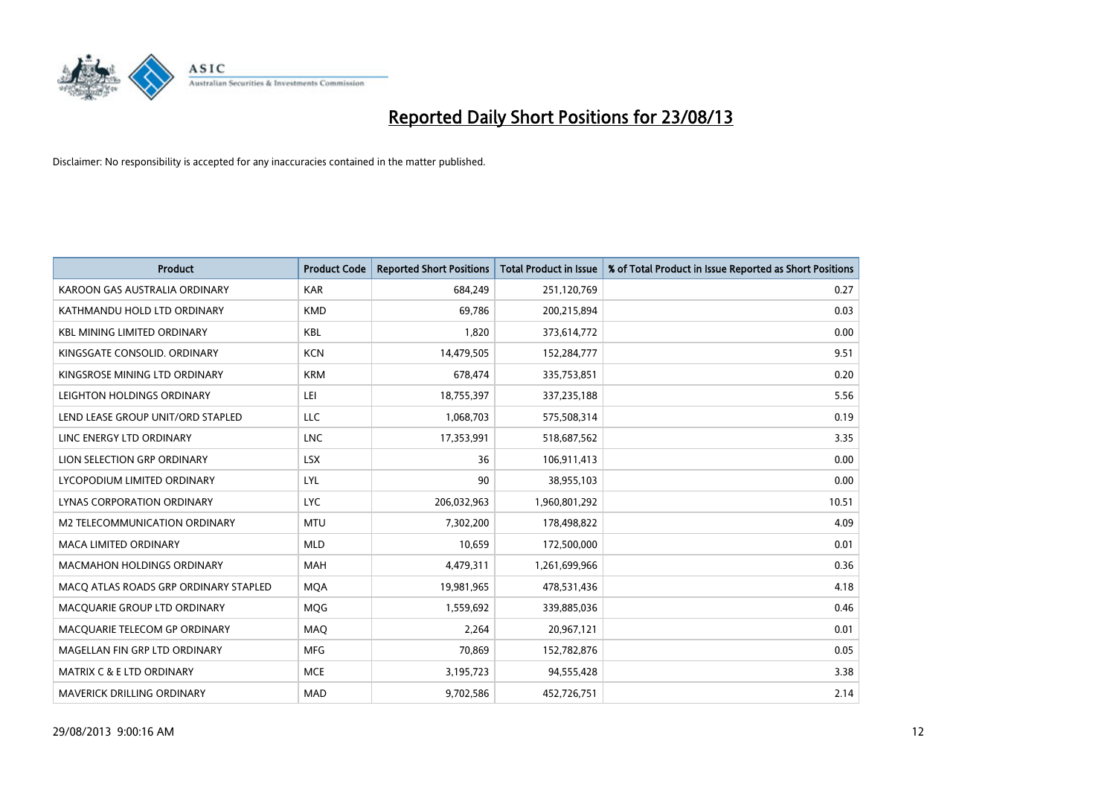

| <b>Product</b>                        | <b>Product Code</b> | <b>Reported Short Positions</b> | <b>Total Product in Issue</b> | % of Total Product in Issue Reported as Short Positions |
|---------------------------------------|---------------------|---------------------------------|-------------------------------|---------------------------------------------------------|
| KAROON GAS AUSTRALIA ORDINARY         | <b>KAR</b>          | 684,249                         | 251,120,769                   | 0.27                                                    |
| KATHMANDU HOLD LTD ORDINARY           | <b>KMD</b>          | 69,786                          | 200,215,894                   | 0.03                                                    |
| <b>KBL MINING LIMITED ORDINARY</b>    | <b>KBL</b>          | 1,820                           | 373,614,772                   | 0.00                                                    |
| KINGSGATE CONSOLID, ORDINARY          | <b>KCN</b>          | 14,479,505                      | 152,284,777                   | 9.51                                                    |
| KINGSROSE MINING LTD ORDINARY         | <b>KRM</b>          | 678,474                         | 335,753,851                   | 0.20                                                    |
| LEIGHTON HOLDINGS ORDINARY            | LEI                 | 18,755,397                      | 337,235,188                   | 5.56                                                    |
| LEND LEASE GROUP UNIT/ORD STAPLED     | LLC                 | 1,068,703                       | 575,508,314                   | 0.19                                                    |
| LINC ENERGY LTD ORDINARY              | <b>LNC</b>          | 17,353,991                      | 518,687,562                   | 3.35                                                    |
| LION SELECTION GRP ORDINARY           | <b>LSX</b>          | 36                              | 106,911,413                   | 0.00                                                    |
| LYCOPODIUM LIMITED ORDINARY           | LYL                 | 90                              | 38,955,103                    | 0.00                                                    |
| LYNAS CORPORATION ORDINARY            | <b>LYC</b>          | 206,032,963                     | 1,960,801,292                 | 10.51                                                   |
| M2 TELECOMMUNICATION ORDINARY         | <b>MTU</b>          | 7,302,200                       | 178,498,822                   | 4.09                                                    |
| MACA LIMITED ORDINARY                 | <b>MLD</b>          | 10,659                          | 172,500,000                   | 0.01                                                    |
| <b>MACMAHON HOLDINGS ORDINARY</b>     | <b>MAH</b>          | 4,479,311                       | 1,261,699,966                 | 0.36                                                    |
| MACO ATLAS ROADS GRP ORDINARY STAPLED | <b>MQA</b>          | 19,981,965                      | 478,531,436                   | 4.18                                                    |
| MACQUARIE GROUP LTD ORDINARY          | <b>MOG</b>          | 1,559,692                       | 339,885,036                   | 0.46                                                    |
| MACQUARIE TELECOM GP ORDINARY         | MAQ                 | 2,264                           | 20,967,121                    | 0.01                                                    |
| MAGELLAN FIN GRP LTD ORDINARY         | <b>MFG</b>          | 70.869                          | 152,782,876                   | 0.05                                                    |
| <b>MATRIX C &amp; E LTD ORDINARY</b>  | <b>MCE</b>          | 3,195,723                       | 94,555,428                    | 3.38                                                    |
| <b>MAVERICK DRILLING ORDINARY</b>     | <b>MAD</b>          | 9,702,586                       | 452,726,751                   | 2.14                                                    |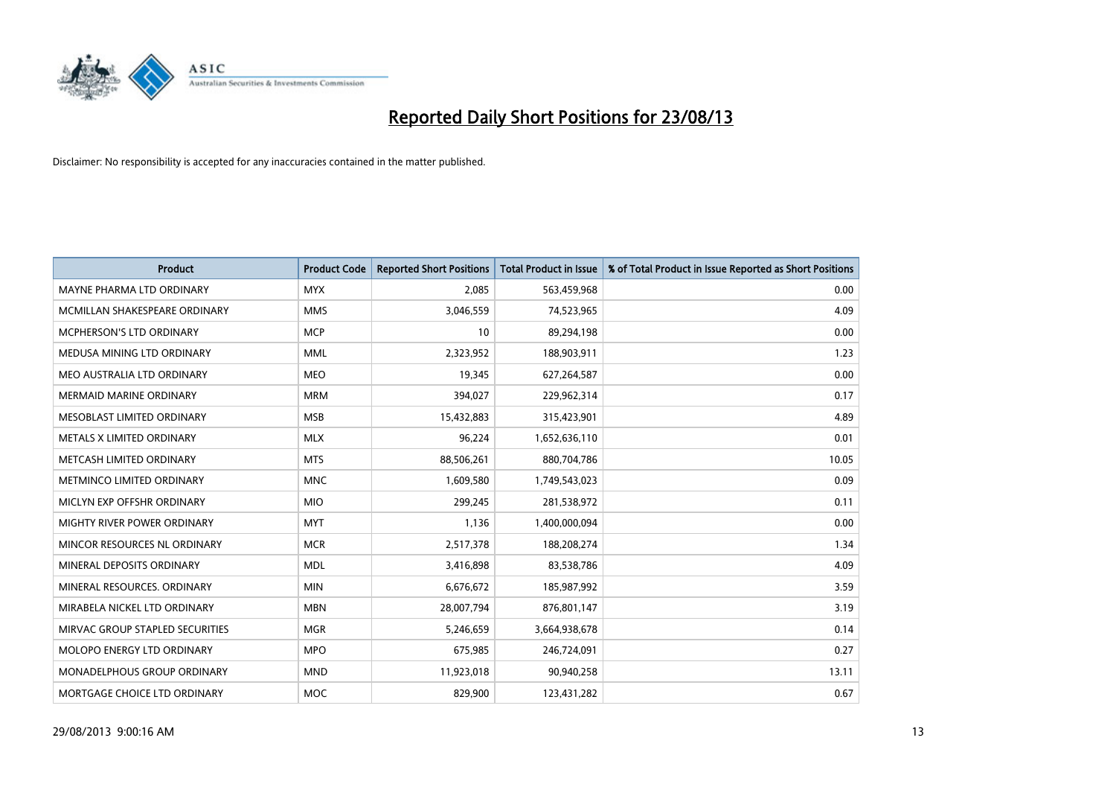

| <b>Product</b>                  | <b>Product Code</b> | <b>Reported Short Positions</b> | <b>Total Product in Issue</b> | % of Total Product in Issue Reported as Short Positions |
|---------------------------------|---------------------|---------------------------------|-------------------------------|---------------------------------------------------------|
| MAYNE PHARMA LTD ORDINARY       | <b>MYX</b>          | 2,085                           | 563,459,968                   | 0.00                                                    |
| MCMILLAN SHAKESPEARE ORDINARY   | <b>MMS</b>          | 3,046,559                       | 74,523,965                    | 4.09                                                    |
| MCPHERSON'S LTD ORDINARY        | <b>MCP</b>          | 10                              | 89,294,198                    | 0.00                                                    |
| MEDUSA MINING LTD ORDINARY      | <b>MML</b>          | 2,323,952                       | 188,903,911                   | 1.23                                                    |
| MEO AUSTRALIA LTD ORDINARY      | <b>MEO</b>          | 19,345                          | 627,264,587                   | 0.00                                                    |
| <b>MERMAID MARINE ORDINARY</b>  | <b>MRM</b>          | 394,027                         | 229,962,314                   | 0.17                                                    |
| MESOBLAST LIMITED ORDINARY      | <b>MSB</b>          | 15,432,883                      | 315,423,901                   | 4.89                                                    |
| METALS X LIMITED ORDINARY       | <b>MLX</b>          | 96,224                          | 1,652,636,110                 | 0.01                                                    |
| METCASH LIMITED ORDINARY        | <b>MTS</b>          | 88,506,261                      | 880,704,786                   | 10.05                                                   |
| METMINCO LIMITED ORDINARY       | <b>MNC</b>          | 1,609,580                       | 1,749,543,023                 | 0.09                                                    |
| MICLYN EXP OFFSHR ORDINARY      | <b>MIO</b>          | 299,245                         | 281,538,972                   | 0.11                                                    |
| MIGHTY RIVER POWER ORDINARY     | <b>MYT</b>          | 1,136                           | 1,400,000,094                 | 0.00                                                    |
| MINCOR RESOURCES NL ORDINARY    | <b>MCR</b>          | 2,517,378                       | 188,208,274                   | 1.34                                                    |
| MINERAL DEPOSITS ORDINARY       | <b>MDL</b>          | 3,416,898                       | 83,538,786                    | 4.09                                                    |
| MINERAL RESOURCES, ORDINARY     | <b>MIN</b>          | 6,676,672                       | 185,987,992                   | 3.59                                                    |
| MIRABELA NICKEL LTD ORDINARY    | <b>MBN</b>          | 28,007,794                      | 876,801,147                   | 3.19                                                    |
| MIRVAC GROUP STAPLED SECURITIES | <b>MGR</b>          | 5,246,659                       | 3,664,938,678                 | 0.14                                                    |
| MOLOPO ENERGY LTD ORDINARY      | <b>MPO</b>          | 675,985                         | 246,724,091                   | 0.27                                                    |
| MONADELPHOUS GROUP ORDINARY     | <b>MND</b>          | 11,923,018                      | 90,940,258                    | 13.11                                                   |
| MORTGAGE CHOICE LTD ORDINARY    | MOC                 | 829,900                         | 123,431,282                   | 0.67                                                    |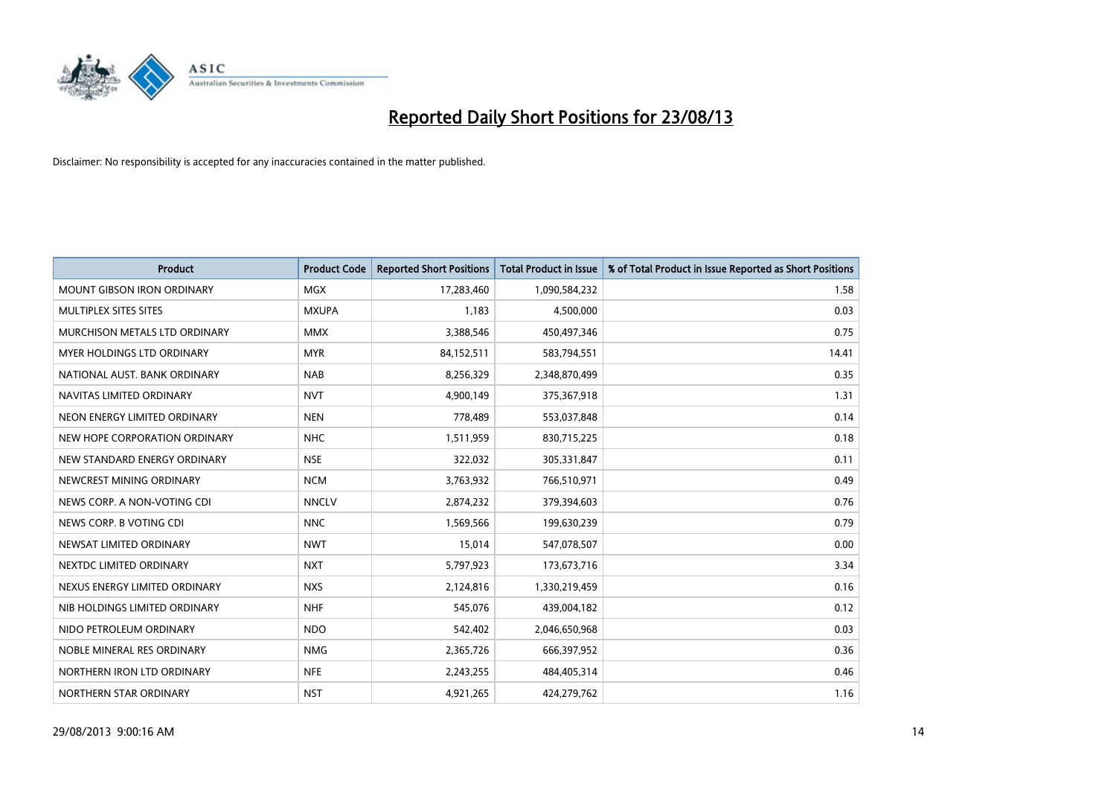

| <b>Product</b>                    | <b>Product Code</b> | <b>Reported Short Positions</b> | <b>Total Product in Issue</b> | % of Total Product in Issue Reported as Short Positions |
|-----------------------------------|---------------------|---------------------------------|-------------------------------|---------------------------------------------------------|
| <b>MOUNT GIBSON IRON ORDINARY</b> | MGX                 | 17,283,460                      | 1,090,584,232                 | 1.58                                                    |
| MULTIPLEX SITES SITES             | <b>MXUPA</b>        | 1,183                           | 4,500,000                     | 0.03                                                    |
| MURCHISON METALS LTD ORDINARY     | <b>MMX</b>          | 3,388,546                       | 450,497,346                   | 0.75                                                    |
| MYER HOLDINGS LTD ORDINARY        | <b>MYR</b>          | 84,152,511                      | 583,794,551                   | 14.41                                                   |
| NATIONAL AUST, BANK ORDINARY      | <b>NAB</b>          | 8,256,329                       | 2,348,870,499                 | 0.35                                                    |
| NAVITAS LIMITED ORDINARY          | <b>NVT</b>          | 4,900,149                       | 375,367,918                   | 1.31                                                    |
| NEON ENERGY LIMITED ORDINARY      | <b>NEN</b>          | 778,489                         | 553,037,848                   | 0.14                                                    |
| NEW HOPE CORPORATION ORDINARY     | <b>NHC</b>          | 1,511,959                       | 830,715,225                   | 0.18                                                    |
| NEW STANDARD ENERGY ORDINARY      | <b>NSE</b>          | 322,032                         | 305,331,847                   | 0.11                                                    |
| NEWCREST MINING ORDINARY          | <b>NCM</b>          | 3,763,932                       | 766,510,971                   | 0.49                                                    |
| NEWS CORP. A NON-VOTING CDI       | <b>NNCLV</b>        | 2,874,232                       | 379,394,603                   | 0.76                                                    |
| NEWS CORP. B VOTING CDI           | <b>NNC</b>          | 1,569,566                       | 199,630,239                   | 0.79                                                    |
| NEWSAT LIMITED ORDINARY           | <b>NWT</b>          | 15,014                          | 547,078,507                   | 0.00                                                    |
| NEXTDC LIMITED ORDINARY           | <b>NXT</b>          | 5,797,923                       | 173,673,716                   | 3.34                                                    |
| NEXUS ENERGY LIMITED ORDINARY     | <b>NXS</b>          | 2,124,816                       | 1,330,219,459                 | 0.16                                                    |
| NIB HOLDINGS LIMITED ORDINARY     | <b>NHF</b>          | 545,076                         | 439,004,182                   | 0.12                                                    |
| NIDO PETROLEUM ORDINARY           | <b>NDO</b>          | 542,402                         | 2,046,650,968                 | 0.03                                                    |
| NOBLE MINERAL RES ORDINARY        | <b>NMG</b>          | 2,365,726                       | 666,397,952                   | 0.36                                                    |
| NORTHERN IRON LTD ORDINARY        | <b>NFE</b>          | 2,243,255                       | 484,405,314                   | 0.46                                                    |
| NORTHERN STAR ORDINARY            | <b>NST</b>          | 4,921,265                       | 424,279,762                   | 1.16                                                    |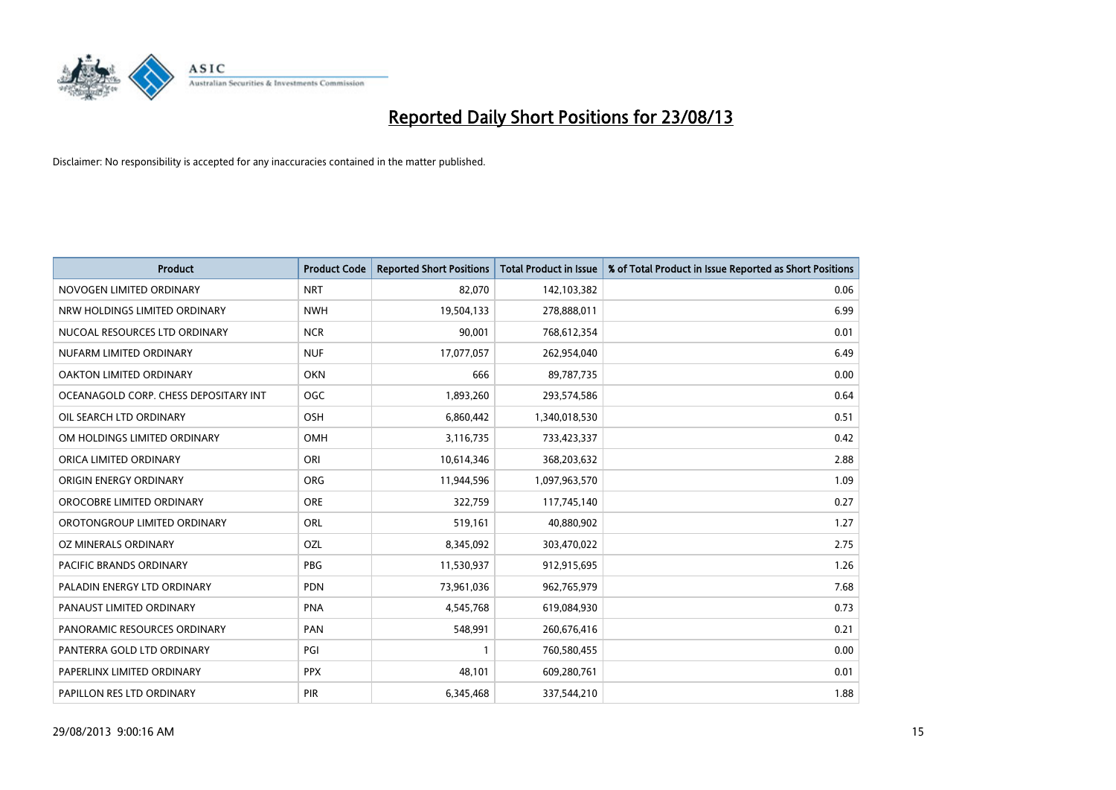

| <b>Product</b>                        | <b>Product Code</b> | <b>Reported Short Positions</b> | <b>Total Product in Issue</b> | % of Total Product in Issue Reported as Short Positions |
|---------------------------------------|---------------------|---------------------------------|-------------------------------|---------------------------------------------------------|
| NOVOGEN LIMITED ORDINARY              | <b>NRT</b>          | 82,070                          | 142,103,382                   | 0.06                                                    |
| NRW HOLDINGS LIMITED ORDINARY         | <b>NWH</b>          | 19,504,133                      | 278,888,011                   | 6.99                                                    |
| NUCOAL RESOURCES LTD ORDINARY         | <b>NCR</b>          | 90,001                          | 768,612,354                   | 0.01                                                    |
| NUFARM LIMITED ORDINARY               | <b>NUF</b>          | 17,077,057                      | 262,954,040                   | 6.49                                                    |
| OAKTON LIMITED ORDINARY               | <b>OKN</b>          | 666                             | 89,787,735                    | 0.00                                                    |
| OCEANAGOLD CORP. CHESS DEPOSITARY INT | <b>OGC</b>          | 1,893,260                       | 293,574,586                   | 0.64                                                    |
| OIL SEARCH LTD ORDINARY               | OSH                 | 6,860,442                       | 1,340,018,530                 | 0.51                                                    |
| OM HOLDINGS LIMITED ORDINARY          | OMH                 | 3,116,735                       | 733,423,337                   | 0.42                                                    |
| ORICA LIMITED ORDINARY                | ORI                 | 10,614,346                      | 368,203,632                   | 2.88                                                    |
| ORIGIN ENERGY ORDINARY                | <b>ORG</b>          | 11,944,596                      | 1,097,963,570                 | 1.09                                                    |
| OROCOBRE LIMITED ORDINARY             | <b>ORE</b>          | 322,759                         | 117,745,140                   | 0.27                                                    |
| OROTONGROUP LIMITED ORDINARY          | <b>ORL</b>          | 519,161                         | 40,880,902                    | 1.27                                                    |
| OZ MINERALS ORDINARY                  | OZL                 | 8,345,092                       | 303,470,022                   | 2.75                                                    |
| <b>PACIFIC BRANDS ORDINARY</b>        | <b>PBG</b>          | 11,530,937                      | 912,915,695                   | 1.26                                                    |
| PALADIN ENERGY LTD ORDINARY           | <b>PDN</b>          | 73,961,036                      | 962,765,979                   | 7.68                                                    |
| PANAUST LIMITED ORDINARY              | <b>PNA</b>          | 4,545,768                       | 619,084,930                   | 0.73                                                    |
| PANORAMIC RESOURCES ORDINARY          | PAN                 | 548,991                         | 260,676,416                   | 0.21                                                    |
| PANTERRA GOLD LTD ORDINARY            | PGI                 | 1                               | 760,580,455                   | 0.00                                                    |
| PAPERLINX LIMITED ORDINARY            | <b>PPX</b>          | 48,101                          | 609,280,761                   | 0.01                                                    |
| PAPILLON RES LTD ORDINARY             | PIR                 | 6,345,468                       | 337,544,210                   | 1.88                                                    |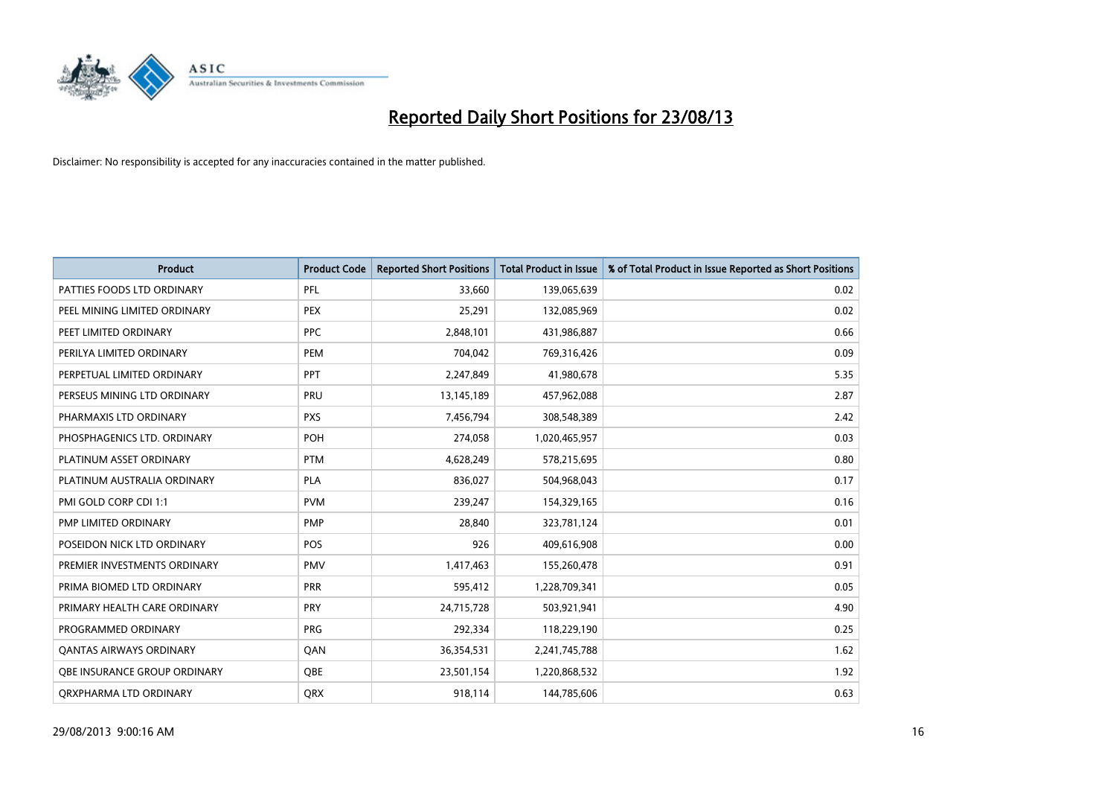

| <b>Product</b>                 | <b>Product Code</b> | <b>Reported Short Positions</b> | <b>Total Product in Issue</b> | % of Total Product in Issue Reported as Short Positions |
|--------------------------------|---------------------|---------------------------------|-------------------------------|---------------------------------------------------------|
| PATTIES FOODS LTD ORDINARY     | PFL                 | 33,660                          | 139,065,639                   | 0.02                                                    |
| PEEL MINING LIMITED ORDINARY   | <b>PEX</b>          | 25,291                          | 132,085,969                   | 0.02                                                    |
| PEET LIMITED ORDINARY          | <b>PPC</b>          | 2,848,101                       | 431,986,887                   | 0.66                                                    |
| PERILYA LIMITED ORDINARY       | <b>PEM</b>          | 704,042                         | 769,316,426                   | 0.09                                                    |
| PERPETUAL LIMITED ORDINARY     | PPT                 | 2,247,849                       | 41,980,678                    | 5.35                                                    |
| PERSEUS MINING LTD ORDINARY    | PRU                 | 13,145,189                      | 457,962,088                   | 2.87                                                    |
| PHARMAXIS LTD ORDINARY         | <b>PXS</b>          | 7,456,794                       | 308,548,389                   | 2.42                                                    |
| PHOSPHAGENICS LTD. ORDINARY    | POH                 | 274,058                         | 1,020,465,957                 | 0.03                                                    |
| PLATINUM ASSET ORDINARY        | <b>PTM</b>          | 4,628,249                       | 578,215,695                   | 0.80                                                    |
| PLATINUM AUSTRALIA ORDINARY    | <b>PLA</b>          | 836,027                         | 504,968,043                   | 0.17                                                    |
| PMI GOLD CORP CDI 1:1          | <b>PVM</b>          | 239,247                         | 154,329,165                   | 0.16                                                    |
| PMP LIMITED ORDINARY           | <b>PMP</b>          | 28,840                          | 323,781,124                   | 0.01                                                    |
| POSEIDON NICK LTD ORDINARY     | <b>POS</b>          | 926                             | 409,616,908                   | 0.00                                                    |
| PREMIER INVESTMENTS ORDINARY   | <b>PMV</b>          | 1,417,463                       | 155,260,478                   | 0.91                                                    |
| PRIMA BIOMED LTD ORDINARY      | <b>PRR</b>          | 595,412                         | 1,228,709,341                 | 0.05                                                    |
| PRIMARY HEALTH CARE ORDINARY   | <b>PRY</b>          | 24,715,728                      | 503,921,941                   | 4.90                                                    |
| PROGRAMMED ORDINARY            | <b>PRG</b>          | 292,334                         | 118,229,190                   | 0.25                                                    |
| <b>QANTAS AIRWAYS ORDINARY</b> | QAN                 | 36,354,531                      | 2,241,745,788                 | 1.62                                                    |
| OBE INSURANCE GROUP ORDINARY   | <b>OBE</b>          | 23,501,154                      | 1,220,868,532                 | 1.92                                                    |
| ORXPHARMA LTD ORDINARY         | QRX                 | 918,114                         | 144,785,606                   | 0.63                                                    |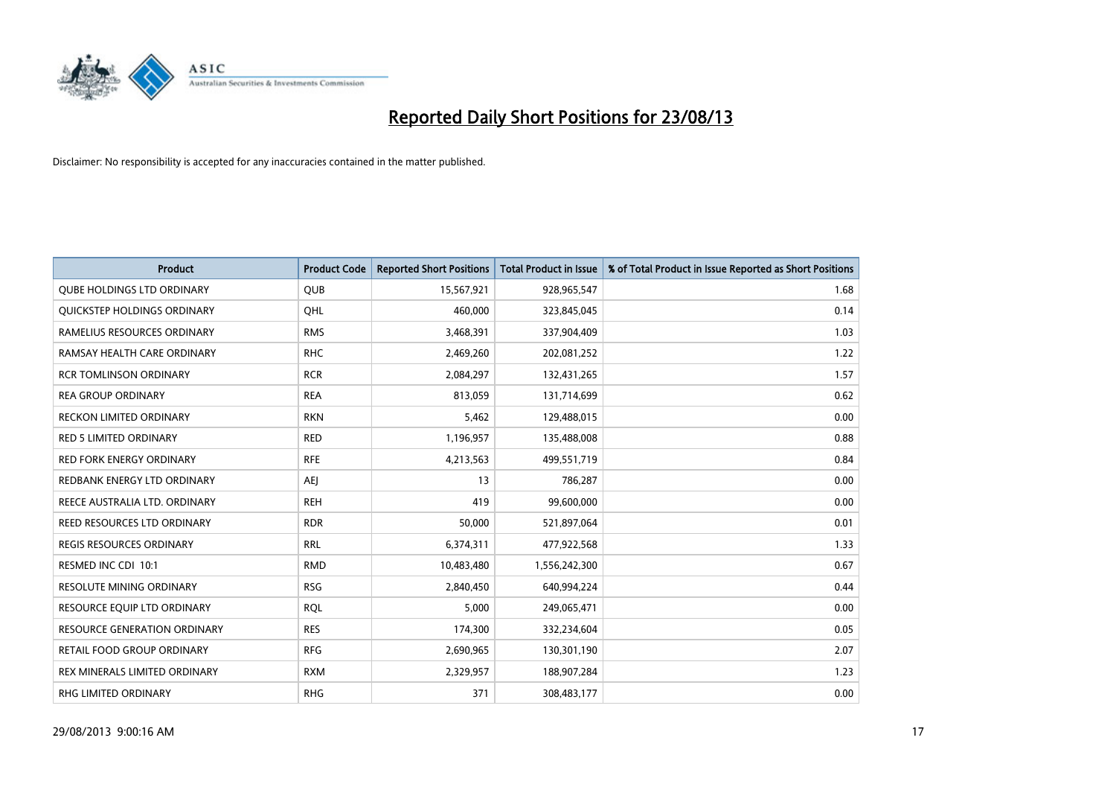

| <b>Product</b>                      | <b>Product Code</b> | <b>Reported Short Positions</b> | <b>Total Product in Issue</b> | % of Total Product in Issue Reported as Short Positions |
|-------------------------------------|---------------------|---------------------------------|-------------------------------|---------------------------------------------------------|
| <b>QUBE HOLDINGS LTD ORDINARY</b>   | <b>QUB</b>          | 15,567,921                      | 928,965,547                   | 1.68                                                    |
| QUICKSTEP HOLDINGS ORDINARY         | OHL                 | 460,000                         | 323,845,045                   | 0.14                                                    |
| RAMELIUS RESOURCES ORDINARY         | <b>RMS</b>          | 3,468,391                       | 337,904,409                   | 1.03                                                    |
| RAMSAY HEALTH CARE ORDINARY         | <b>RHC</b>          | 2,469,260                       | 202,081,252                   | 1.22                                                    |
| <b>RCR TOMLINSON ORDINARY</b>       | <b>RCR</b>          | 2,084,297                       | 132,431,265                   | 1.57                                                    |
| <b>REA GROUP ORDINARY</b>           | <b>REA</b>          | 813,059                         | 131,714,699                   | 0.62                                                    |
| RECKON LIMITED ORDINARY             | <b>RKN</b>          | 5,462                           | 129,488,015                   | 0.00                                                    |
| RED 5 LIMITED ORDINARY              | <b>RED</b>          | 1,196,957                       | 135,488,008                   | 0.88                                                    |
| <b>RED FORK ENERGY ORDINARY</b>     | <b>RFE</b>          | 4,213,563                       | 499,551,719                   | 0.84                                                    |
| REDBANK ENERGY LTD ORDINARY         | <b>AEI</b>          | 13                              | 786,287                       | 0.00                                                    |
| REECE AUSTRALIA LTD. ORDINARY       | <b>REH</b>          | 419                             | 99,600,000                    | 0.00                                                    |
| <b>REED RESOURCES LTD ORDINARY</b>  | <b>RDR</b>          | 50,000                          | 521,897,064                   | 0.01                                                    |
| REGIS RESOURCES ORDINARY            | <b>RRL</b>          | 6,374,311                       | 477,922,568                   | 1.33                                                    |
| RESMED INC CDI 10:1                 | <b>RMD</b>          | 10,483,480                      | 1,556,242,300                 | 0.67                                                    |
| <b>RESOLUTE MINING ORDINARY</b>     | <b>RSG</b>          | 2,840,450                       | 640,994,224                   | 0.44                                                    |
| RESOURCE EQUIP LTD ORDINARY         | <b>RQL</b>          | 5,000                           | 249,065,471                   | 0.00                                                    |
| <b>RESOURCE GENERATION ORDINARY</b> | <b>RES</b>          | 174,300                         | 332,234,604                   | 0.05                                                    |
| RETAIL FOOD GROUP ORDINARY          | <b>RFG</b>          | 2,690,965                       | 130,301,190                   | 2.07                                                    |
| REX MINERALS LIMITED ORDINARY       | <b>RXM</b>          | 2,329,957                       | 188,907,284                   | 1.23                                                    |
| RHG LIMITED ORDINARY                | <b>RHG</b>          | 371                             | 308,483,177                   | 0.00                                                    |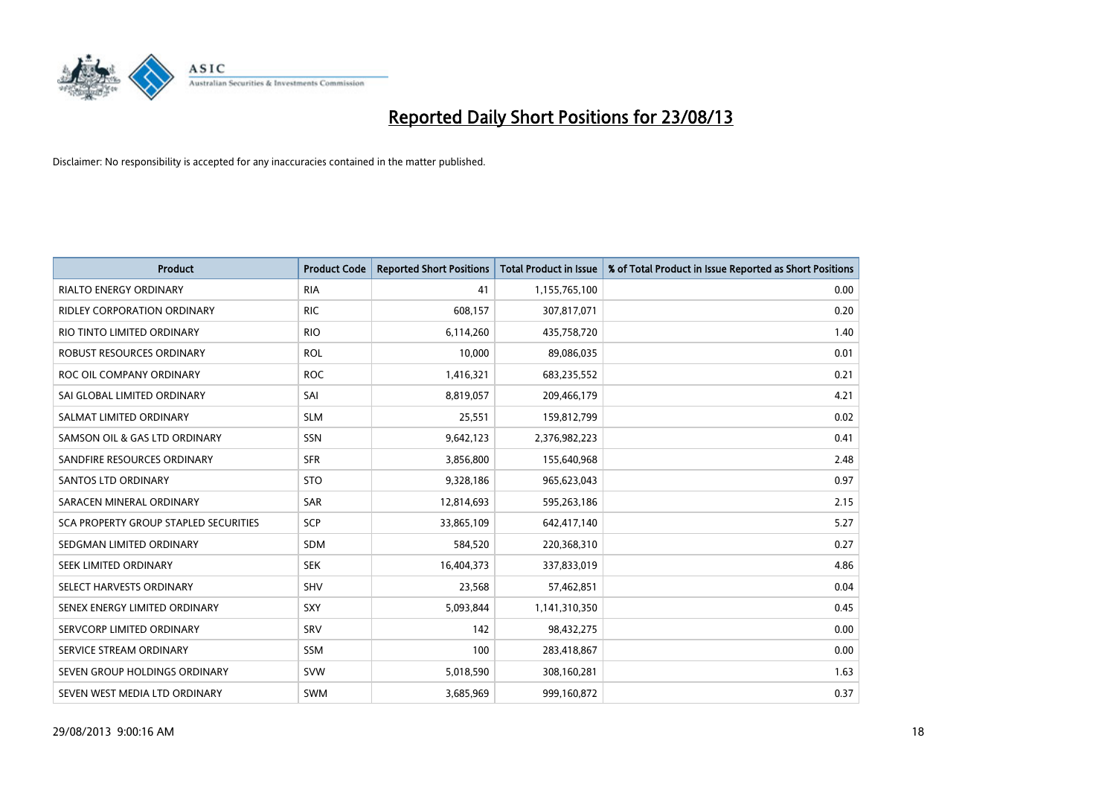

| <b>Product</b>                        | <b>Product Code</b> | <b>Reported Short Positions</b> | <b>Total Product in Issue</b> | % of Total Product in Issue Reported as Short Positions |
|---------------------------------------|---------------------|---------------------------------|-------------------------------|---------------------------------------------------------|
| <b>RIALTO ENERGY ORDINARY</b>         | <b>RIA</b>          | 41                              | 1,155,765,100                 | 0.00                                                    |
| <b>RIDLEY CORPORATION ORDINARY</b>    | <b>RIC</b>          | 608,157                         | 307,817,071                   | 0.20                                                    |
| RIO TINTO LIMITED ORDINARY            | <b>RIO</b>          | 6,114,260                       | 435,758,720                   | 1.40                                                    |
| ROBUST RESOURCES ORDINARY             | <b>ROL</b>          | 10,000                          | 89,086,035                    | 0.01                                                    |
| ROC OIL COMPANY ORDINARY              | <b>ROC</b>          | 1,416,321                       | 683,235,552                   | 0.21                                                    |
| SAI GLOBAL LIMITED ORDINARY           | SAI                 | 8,819,057                       | 209,466,179                   | 4.21                                                    |
| SALMAT LIMITED ORDINARY               | <b>SLM</b>          | 25,551                          | 159,812,799                   | 0.02                                                    |
| SAMSON OIL & GAS LTD ORDINARY         | SSN                 | 9,642,123                       | 2,376,982,223                 | 0.41                                                    |
| SANDFIRE RESOURCES ORDINARY           | <b>SFR</b>          | 3,856,800                       | 155,640,968                   | 2.48                                                    |
| SANTOS LTD ORDINARY                   | <b>STO</b>          | 9,328,186                       | 965,623,043                   | 0.97                                                    |
| SARACEN MINERAL ORDINARY              | SAR                 | 12,814,693                      | 595,263,186                   | 2.15                                                    |
| SCA PROPERTY GROUP STAPLED SECURITIES | SCP                 | 33,865,109                      | 642,417,140                   | 5.27                                                    |
| SEDGMAN LIMITED ORDINARY              | <b>SDM</b>          | 584,520                         | 220,368,310                   | 0.27                                                    |
| SEEK LIMITED ORDINARY                 | <b>SEK</b>          | 16,404,373                      | 337,833,019                   | 4.86                                                    |
| SELECT HARVESTS ORDINARY              | SHV                 | 23,568                          | 57,462,851                    | 0.04                                                    |
| SENEX ENERGY LIMITED ORDINARY         | <b>SXY</b>          | 5,093,844                       | 1,141,310,350                 | 0.45                                                    |
| SERVCORP LIMITED ORDINARY             | SRV                 | 142                             | 98,432,275                    | 0.00                                                    |
| SERVICE STREAM ORDINARY               | SSM                 | 100                             | 283,418,867                   | 0.00                                                    |
| SEVEN GROUP HOLDINGS ORDINARY         | <b>SVW</b>          | 5,018,590                       | 308,160,281                   | 1.63                                                    |
| SEVEN WEST MEDIA LTD ORDINARY         | <b>SWM</b>          | 3,685,969                       | 999,160,872                   | 0.37                                                    |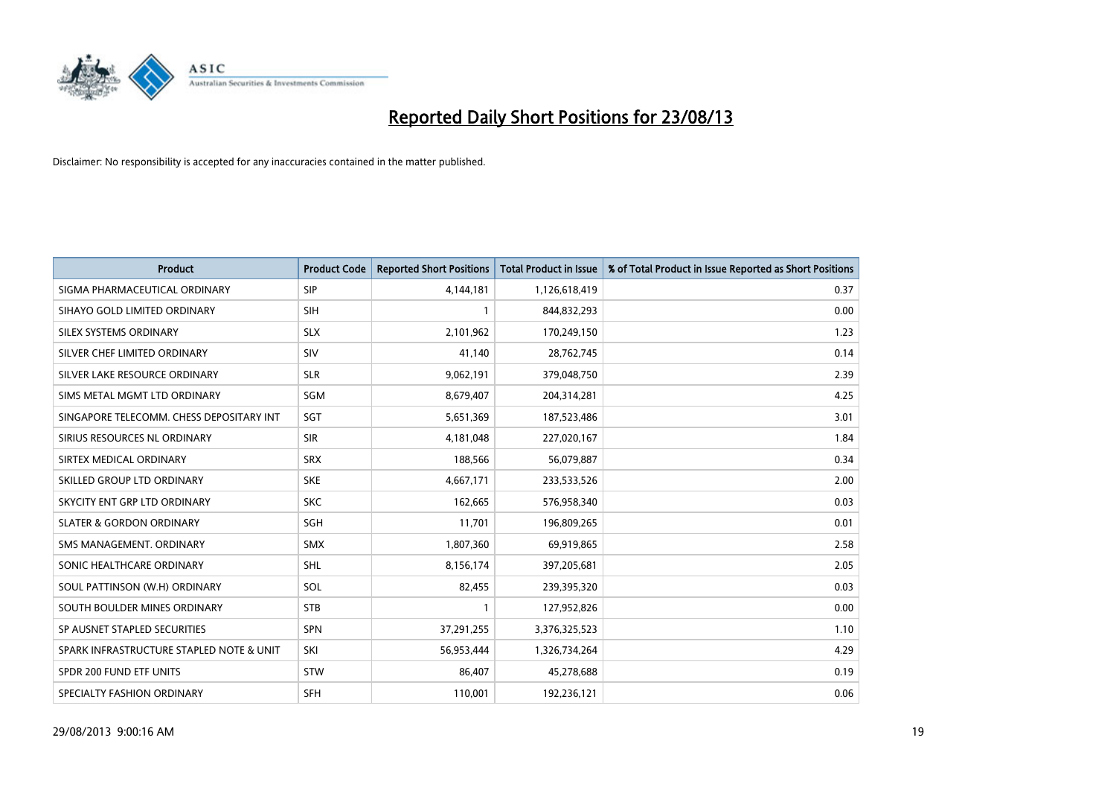

| <b>Product</b>                           | <b>Product Code</b> | <b>Reported Short Positions</b> | <b>Total Product in Issue</b> | % of Total Product in Issue Reported as Short Positions |
|------------------------------------------|---------------------|---------------------------------|-------------------------------|---------------------------------------------------------|
| SIGMA PHARMACEUTICAL ORDINARY            | <b>SIP</b>          | 4,144,181                       | 1,126,618,419                 | 0.37                                                    |
| SIHAYO GOLD LIMITED ORDINARY             | <b>SIH</b>          | 1                               | 844,832,293                   | 0.00                                                    |
| SILEX SYSTEMS ORDINARY                   | <b>SLX</b>          | 2,101,962                       | 170,249,150                   | 1.23                                                    |
| SILVER CHEF LIMITED ORDINARY             | SIV                 | 41,140                          | 28,762,745                    | 0.14                                                    |
| SILVER LAKE RESOURCE ORDINARY            | <b>SLR</b>          | 9,062,191                       | 379,048,750                   | 2.39                                                    |
| SIMS METAL MGMT LTD ORDINARY             | SGM                 | 8,679,407                       | 204,314,281                   | 4.25                                                    |
| SINGAPORE TELECOMM. CHESS DEPOSITARY INT | SGT                 | 5,651,369                       | 187,523,486                   | 3.01                                                    |
| SIRIUS RESOURCES NL ORDINARY             | <b>SIR</b>          | 4,181,048                       | 227,020,167                   | 1.84                                                    |
| SIRTEX MEDICAL ORDINARY                  | <b>SRX</b>          | 188,566                         | 56,079,887                    | 0.34                                                    |
| SKILLED GROUP LTD ORDINARY               | <b>SKE</b>          | 4,667,171                       | 233,533,526                   | 2.00                                                    |
| SKYCITY ENT GRP LTD ORDINARY             | <b>SKC</b>          | 162,665                         | 576,958,340                   | 0.03                                                    |
| <b>SLATER &amp; GORDON ORDINARY</b>      | SGH                 | 11,701                          | 196,809,265                   | 0.01                                                    |
| SMS MANAGEMENT, ORDINARY                 | <b>SMX</b>          | 1,807,360                       | 69,919,865                    | 2.58                                                    |
| SONIC HEALTHCARE ORDINARY                | SHL                 | 8,156,174                       | 397,205,681                   | 2.05                                                    |
| SOUL PATTINSON (W.H) ORDINARY            | SOL                 | 82,455                          | 239,395,320                   | 0.03                                                    |
| SOUTH BOULDER MINES ORDINARY             | <b>STB</b>          |                                 | 127,952,826                   | 0.00                                                    |
| SP AUSNET STAPLED SECURITIES             | <b>SPN</b>          | 37,291,255                      | 3,376,325,523                 | 1.10                                                    |
| SPARK INFRASTRUCTURE STAPLED NOTE & UNIT | SKI                 | 56,953,444                      | 1,326,734,264                 | 4.29                                                    |
| SPDR 200 FUND ETF UNITS                  | <b>STW</b>          | 86,407                          | 45,278,688                    | 0.19                                                    |
| SPECIALTY FASHION ORDINARY               | <b>SFH</b>          | 110,001                         | 192,236,121                   | 0.06                                                    |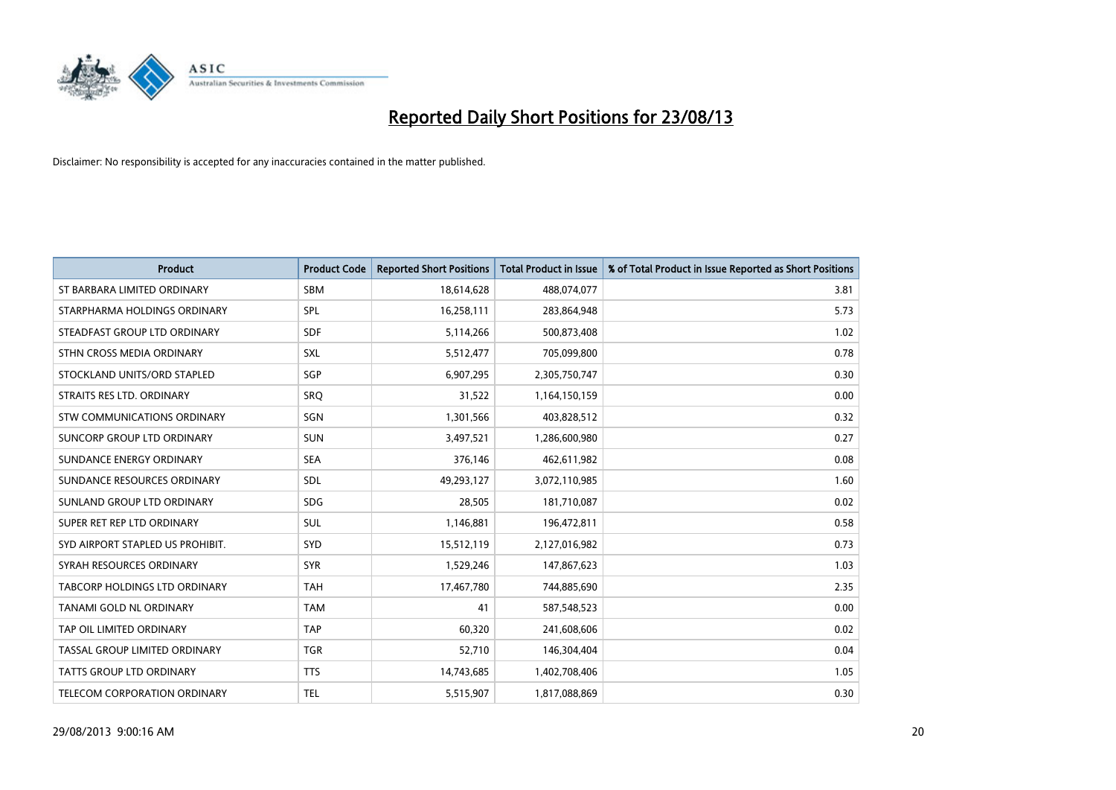

| <b>Product</b>                   | <b>Product Code</b> | <b>Reported Short Positions</b> | <b>Total Product in Issue</b> | % of Total Product in Issue Reported as Short Positions |
|----------------------------------|---------------------|---------------------------------|-------------------------------|---------------------------------------------------------|
| ST BARBARA LIMITED ORDINARY      | <b>SBM</b>          | 18,614,628                      | 488,074,077                   | 3.81                                                    |
| STARPHARMA HOLDINGS ORDINARY     | <b>SPL</b>          | 16,258,111                      | 283,864,948                   | 5.73                                                    |
| STEADFAST GROUP LTD ORDINARY     | <b>SDF</b>          | 5,114,266                       | 500,873,408                   | 1.02                                                    |
| STHN CROSS MEDIA ORDINARY        | SXL                 | 5,512,477                       | 705,099,800                   | 0.78                                                    |
| STOCKLAND UNITS/ORD STAPLED      | SGP                 | 6,907,295                       | 2,305,750,747                 | 0.30                                                    |
| STRAITS RES LTD. ORDINARY        | SRO                 | 31,522                          | 1,164,150,159                 | 0.00                                                    |
| STW COMMUNICATIONS ORDINARY      | SGN                 | 1,301,566                       | 403,828,512                   | 0.32                                                    |
| SUNCORP GROUP LTD ORDINARY       | <b>SUN</b>          | 3,497,521                       | 1,286,600,980                 | 0.27                                                    |
| SUNDANCE ENERGY ORDINARY         | <b>SEA</b>          | 376,146                         | 462,611,982                   | 0.08                                                    |
| SUNDANCE RESOURCES ORDINARY      | <b>SDL</b>          | 49,293,127                      | 3,072,110,985                 | 1.60                                                    |
| SUNLAND GROUP LTD ORDINARY       | <b>SDG</b>          | 28,505                          | 181,710,087                   | 0.02                                                    |
| SUPER RET REP LTD ORDINARY       | <b>SUL</b>          | 1,146,881                       | 196,472,811                   | 0.58                                                    |
| SYD AIRPORT STAPLED US PROHIBIT. | <b>SYD</b>          | 15,512,119                      | 2,127,016,982                 | 0.73                                                    |
| SYRAH RESOURCES ORDINARY         | <b>SYR</b>          | 1,529,246                       | 147,867,623                   | 1.03                                                    |
| TABCORP HOLDINGS LTD ORDINARY    | <b>TAH</b>          | 17,467,780                      | 744,885,690                   | 2.35                                                    |
| TANAMI GOLD NL ORDINARY          | <b>TAM</b>          | 41                              | 587,548,523                   | 0.00                                                    |
| TAP OIL LIMITED ORDINARY         | <b>TAP</b>          | 60,320                          | 241,608,606                   | 0.02                                                    |
| TASSAL GROUP LIMITED ORDINARY    | <b>TGR</b>          | 52,710                          | 146,304,404                   | 0.04                                                    |
| <b>TATTS GROUP LTD ORDINARY</b>  | <b>TTS</b>          | 14,743,685                      | 1,402,708,406                 | 1.05                                                    |
| TELECOM CORPORATION ORDINARY     | <b>TEL</b>          | 5,515,907                       | 1,817,088,869                 | 0.30                                                    |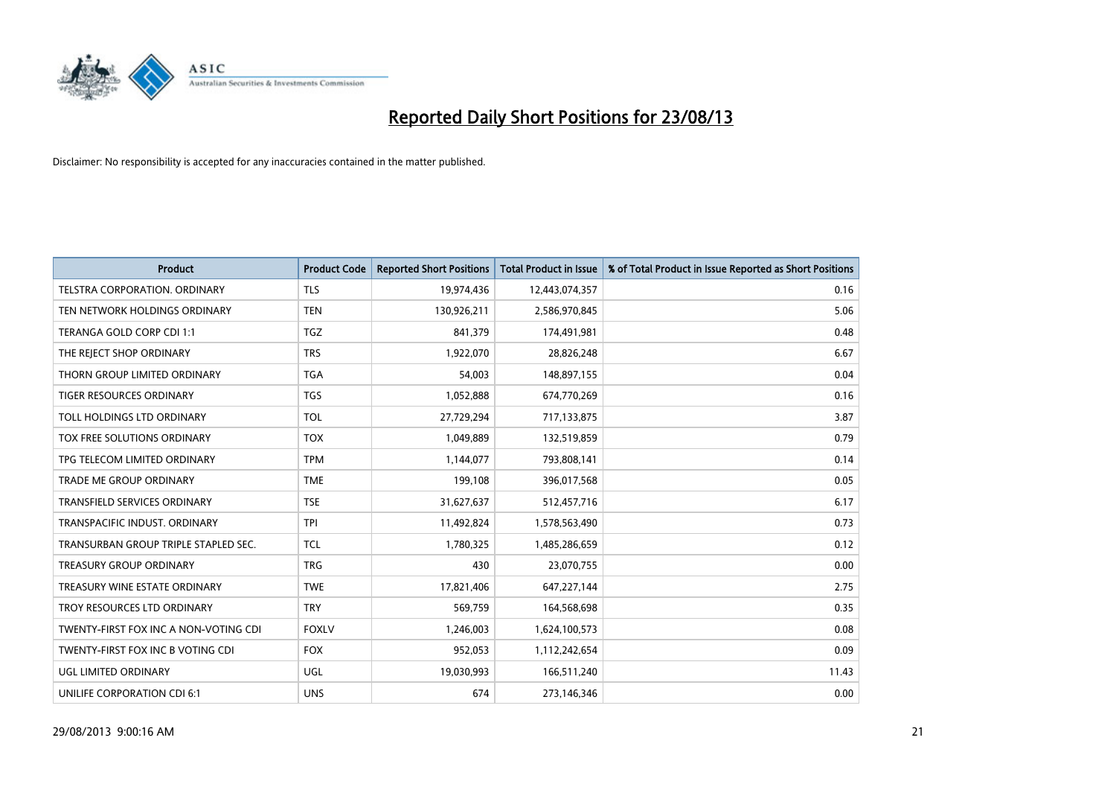

| <b>Product</b>                        | <b>Product Code</b> | <b>Reported Short Positions</b> | <b>Total Product in Issue</b> | % of Total Product in Issue Reported as Short Positions |
|---------------------------------------|---------------------|---------------------------------|-------------------------------|---------------------------------------------------------|
| <b>TELSTRA CORPORATION, ORDINARY</b>  | <b>TLS</b>          | 19,974,436                      | 12,443,074,357                | 0.16                                                    |
| TEN NETWORK HOLDINGS ORDINARY         | <b>TEN</b>          | 130,926,211                     | 2,586,970,845                 | 5.06                                                    |
| TERANGA GOLD CORP CDI 1:1             | <b>TGZ</b>          | 841,379                         | 174,491,981                   | 0.48                                                    |
| THE REJECT SHOP ORDINARY              | <b>TRS</b>          | 1,922,070                       | 28,826,248                    | 6.67                                                    |
| THORN GROUP LIMITED ORDINARY          | <b>TGA</b>          | 54,003                          | 148,897,155                   | 0.04                                                    |
| <b>TIGER RESOURCES ORDINARY</b>       | <b>TGS</b>          | 1,052,888                       | 674,770,269                   | 0.16                                                    |
| TOLL HOLDINGS LTD ORDINARY            | <b>TOL</b>          | 27,729,294                      | 717,133,875                   | 3.87                                                    |
| TOX FREE SOLUTIONS ORDINARY           | <b>TOX</b>          | 1,049,889                       | 132,519,859                   | 0.79                                                    |
| TPG TELECOM LIMITED ORDINARY          | <b>TPM</b>          | 1,144,077                       | 793,808,141                   | 0.14                                                    |
| <b>TRADE ME GROUP ORDINARY</b>        | <b>TME</b>          | 199,108                         | 396,017,568                   | 0.05                                                    |
| TRANSFIELD SERVICES ORDINARY          | <b>TSE</b>          | 31,627,637                      | 512,457,716                   | 6.17                                                    |
| TRANSPACIFIC INDUST, ORDINARY         | <b>TPI</b>          | 11,492,824                      | 1,578,563,490                 | 0.73                                                    |
| TRANSURBAN GROUP TRIPLE STAPLED SEC.  | TCL                 | 1,780,325                       | 1,485,286,659                 | 0.12                                                    |
| <b>TREASURY GROUP ORDINARY</b>        | <b>TRG</b>          | 430                             | 23,070,755                    | 0.00                                                    |
| TREASURY WINE ESTATE ORDINARY         | <b>TWE</b>          | 17,821,406                      | 647,227,144                   | 2.75                                                    |
| TROY RESOURCES LTD ORDINARY           | <b>TRY</b>          | 569,759                         | 164,568,698                   | 0.35                                                    |
| TWENTY-FIRST FOX INC A NON-VOTING CDI | <b>FOXLV</b>        | 1,246,003                       | 1,624,100,573                 | 0.08                                                    |
| TWENTY-FIRST FOX INC B VOTING CDI     | <b>FOX</b>          | 952,053                         | 1,112,242,654                 | 0.09                                                    |
| UGL LIMITED ORDINARY                  | UGL                 | 19,030,993                      | 166,511,240                   | 11.43                                                   |
| UNILIFE CORPORATION CDI 6:1           | <b>UNS</b>          | 674                             | 273,146,346                   | 0.00                                                    |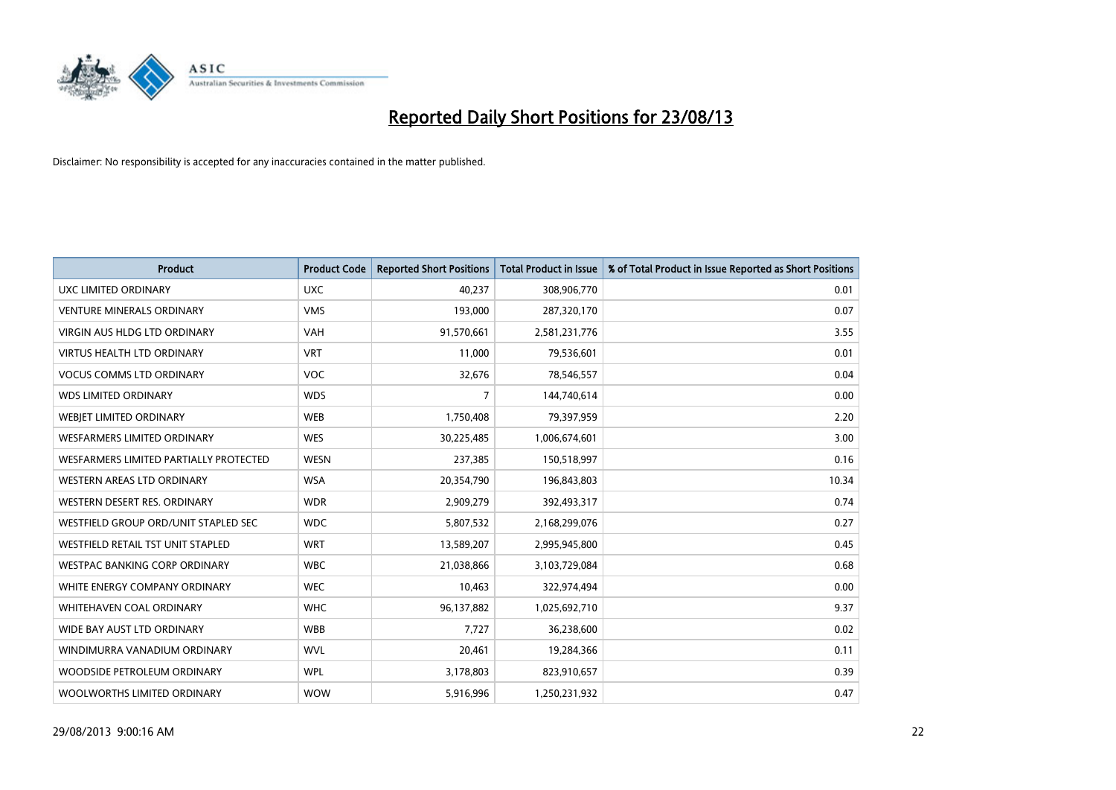

| <b>Product</b>                         | <b>Product Code</b> | <b>Reported Short Positions</b> | <b>Total Product in Issue</b> | % of Total Product in Issue Reported as Short Positions |
|----------------------------------------|---------------------|---------------------------------|-------------------------------|---------------------------------------------------------|
| UXC LIMITED ORDINARY                   | <b>UXC</b>          | 40,237                          | 308,906,770                   | 0.01                                                    |
| <b>VENTURE MINERALS ORDINARY</b>       | <b>VMS</b>          | 193,000                         | 287,320,170                   | 0.07                                                    |
| VIRGIN AUS HLDG LTD ORDINARY           | <b>VAH</b>          | 91,570,661                      | 2,581,231,776                 | 3.55                                                    |
| VIRTUS HEALTH LTD ORDINARY             | <b>VRT</b>          | 11,000                          | 79,536,601                    | 0.01                                                    |
| <b>VOCUS COMMS LTD ORDINARY</b>        | <b>VOC</b>          | 32,676                          | 78,546,557                    | 0.04                                                    |
| <b>WDS LIMITED ORDINARY</b>            | <b>WDS</b>          | 7                               | 144,740,614                   | 0.00                                                    |
| WEBJET LIMITED ORDINARY                | <b>WEB</b>          | 1,750,408                       | 79,397,959                    | 2.20                                                    |
| <b>WESFARMERS LIMITED ORDINARY</b>     | <b>WES</b>          | 30,225,485                      | 1,006,674,601                 | 3.00                                                    |
| WESFARMERS LIMITED PARTIALLY PROTECTED | <b>WESN</b>         | 237,385                         | 150,518,997                   | 0.16                                                    |
| WESTERN AREAS LTD ORDINARY             | <b>WSA</b>          | 20,354,790                      | 196,843,803                   | 10.34                                                   |
| WESTERN DESERT RES. ORDINARY           | <b>WDR</b>          | 2,909,279                       | 392,493,317                   | 0.74                                                    |
| WESTFIELD GROUP ORD/UNIT STAPLED SEC   | <b>WDC</b>          | 5,807,532                       | 2,168,299,076                 | 0.27                                                    |
| WESTFIELD RETAIL TST UNIT STAPLED      | <b>WRT</b>          | 13,589,207                      | 2,995,945,800                 | 0.45                                                    |
| <b>WESTPAC BANKING CORP ORDINARY</b>   | <b>WBC</b>          | 21,038,866                      | 3,103,729,084                 | 0.68                                                    |
| WHITE ENERGY COMPANY ORDINARY          | <b>WEC</b>          | 10,463                          | 322,974,494                   | 0.00                                                    |
| <b>WHITEHAVEN COAL ORDINARY</b>        | <b>WHC</b>          | 96,137,882                      | 1,025,692,710                 | 9.37                                                    |
| WIDE BAY AUST LTD ORDINARY             | <b>WBB</b>          | 7,727                           | 36,238,600                    | 0.02                                                    |
| WINDIMURRA VANADIUM ORDINARY           | <b>WVL</b>          | 20,461                          | 19,284,366                    | 0.11                                                    |
| WOODSIDE PETROLEUM ORDINARY            | <b>WPL</b>          | 3,178,803                       | 823,910,657                   | 0.39                                                    |
| WOOLWORTHS LIMITED ORDINARY            | <b>WOW</b>          | 5,916,996                       | 1,250,231,932                 | 0.47                                                    |